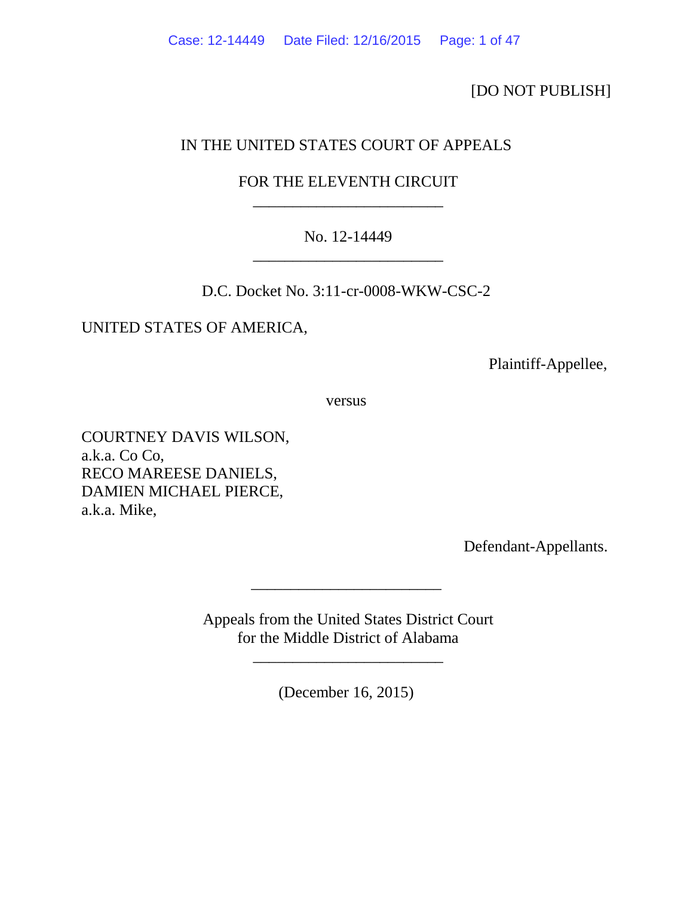[DO NOT PUBLISH]

# IN THE UNITED STATES COURT OF APPEALS

# FOR THE ELEVENTH CIRCUIT \_\_\_\_\_\_\_\_\_\_\_\_\_\_\_\_\_\_\_\_\_\_\_\_

# No. 12-14449 \_\_\_\_\_\_\_\_\_\_\_\_\_\_\_\_\_\_\_\_\_\_\_\_

D.C. Docket No. 3:11-cr-0008-WKW-CSC-2

UNITED STATES OF AMERICA,

Plaintiff-Appellee,

versus

COURTNEY DAVIS WILSON, a.k.a. Co Co, RECO MAREESE DANIELS, DAMIEN MICHAEL PIERCE, a.k.a. Mike,

Defendant-Appellants.

Appeals from the United States District Court for the Middle District of Alabama

\_\_\_\_\_\_\_\_\_\_\_\_\_\_\_\_\_\_\_\_\_\_\_\_

(December 16, 2015)

\_\_\_\_\_\_\_\_\_\_\_\_\_\_\_\_\_\_\_\_\_\_\_\_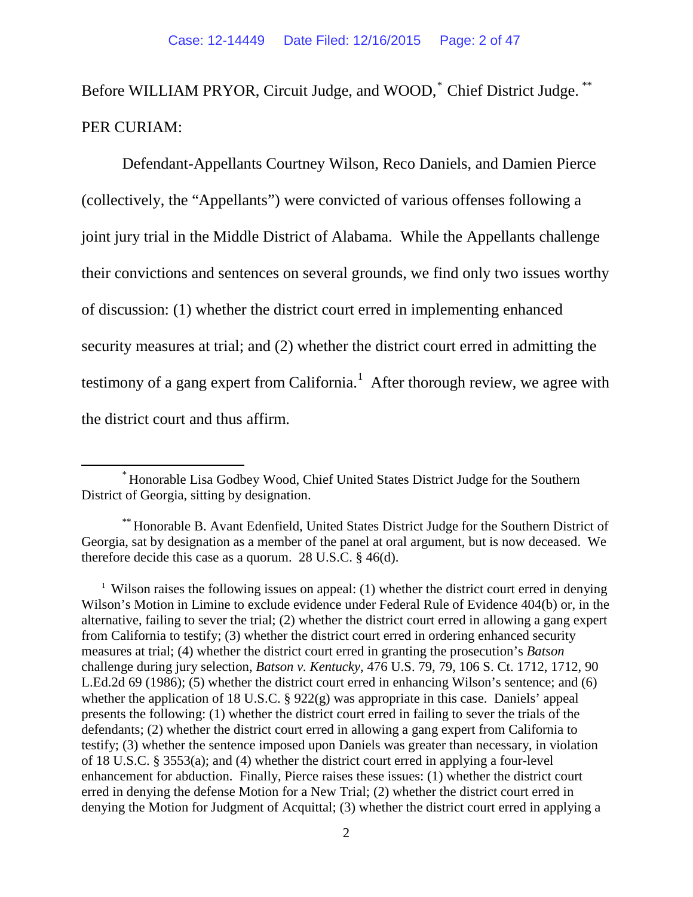Before WILLIAM PRYOR, Circuit Judge, and WOOD,<sup>\*</sup> Chief District Judge.<sup>[\\*\\*](#page-1-1)</sup> PER CURIAM:

Defendant-Appellants Courtney Wilson, Reco Daniels, and Damien Pierce (collectively, the "Appellants") were convicted of various offenses following a joint jury trial in the Middle District of Alabama. While the Appellants challenge their convictions and sentences on several grounds, we find only two issues worthy of discussion: (1) whether the district court erred in implementing enhanced security measures at trial; and (2) whether the district court erred in admitting the testimony of a gang expert from California.<sup>[1](#page-1-2)</sup> After thorough review, we agree with the district court and thus affirm.

<span id="page-1-0"></span>\* Honorable Lisa Godbey Wood, Chief United States District Judge for the Southern District of Georgia, sitting by designation.

<span id="page-1-1"></span><sup>\*\*</sup> Honorable B. Avant Edenfield, United States District Judge for the Southern District of Georgia, sat by designation as a member of the panel at oral argument, but is now deceased. We therefore decide this case as a quorum. 28 U.S.C. § 46(d).

<span id="page-1-2"></span><sup>&</sup>lt;sup>1</sup> Wilson raises the following issues on appeal: (1) whether the district court erred in denying Wilson's Motion in Limine to exclude evidence under Federal Rule of Evidence 404(b) or, in the alternative, failing to sever the trial; (2) whether the district court erred in allowing a gang expert from California to testify; (3) whether the district court erred in ordering enhanced security measures at trial; (4) whether the district court erred in granting the prosecution's *Batson* challenge during jury selection, *Batson v. Kentucky*, 476 U.S. 79, 79, 106 S. Ct. 1712, 1712, 90 L.Ed.2d 69 (1986); (5) whether the district court erred in enhancing Wilson's sentence; and (6) whether the application of 18 U.S.C. § 922(g) was appropriate in this case. Daniels' appeal presents the following: (1) whether the district court erred in failing to sever the trials of the defendants; (2) whether the district court erred in allowing a gang expert from California to testify; (3) whether the sentence imposed upon Daniels was greater than necessary, in violation of 18 U.S.C. § 3553(a); and (4) whether the district court erred in applying a four-level enhancement for abduction. Finally, Pierce raises these issues: (1) whether the district court erred in denying the defense Motion for a New Trial; (2) whether the district court erred in denying the Motion for Judgment of Acquittal; (3) whether the district court erred in applying a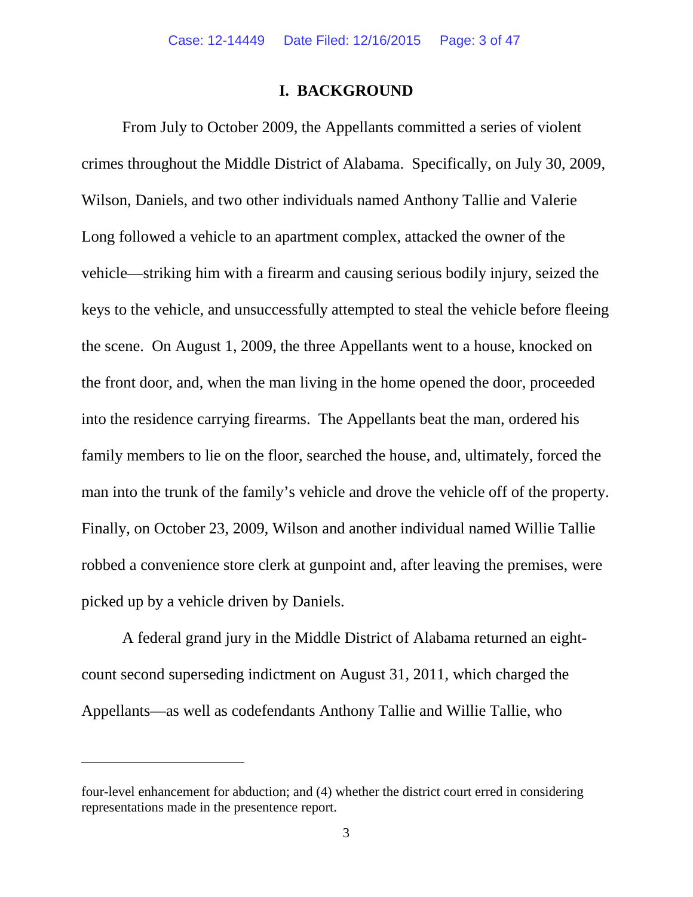## **I. BACKGROUND**

From July to October 2009, the Appellants committed a series of violent crimes throughout the Middle District of Alabama. Specifically, on July 30, 2009, Wilson, Daniels, and two other individuals named Anthony Tallie and Valerie Long followed a vehicle to an apartment complex, attacked the owner of the vehicle—striking him with a firearm and causing serious bodily injury, seized the keys to the vehicle, and unsuccessfully attempted to steal the vehicle before fleeing the scene. On August 1, 2009, the three Appellants went to a house, knocked on the front door, and, when the man living in the home opened the door, proceeded into the residence carrying firearms. The Appellants beat the man, ordered his family members to lie on the floor, searched the house, and, ultimately, forced the man into the trunk of the family's vehicle and drove the vehicle off of the property. Finally, on October 23, 2009, Wilson and another individual named Willie Tallie robbed a convenience store clerk at gunpoint and, after leaving the premises, were picked up by a vehicle driven by Daniels.

A federal grand jury in the Middle District of Alabama returned an eightcount second superseding indictment on August 31, 2011, which charged the Appellants—as well as codefendants Anthony Tallie and Willie Tallie, who

l

four-level enhancement for abduction; and (4) whether the district court erred in considering representations made in the presentence report.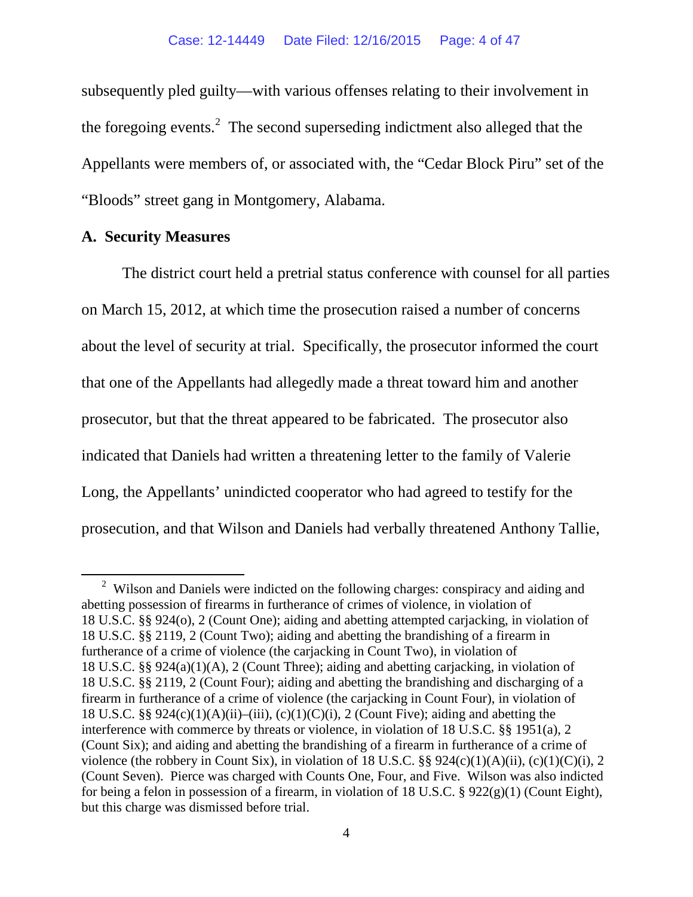subsequently pled guilty—with various offenses relating to their involvement in the foregoing events.<sup>[2](#page-3-0)</sup> The second superseding indictment also alleged that the Appellants were members of, or associated with, the "Cedar Block Piru" set of the "Bloods" street gang in Montgomery, Alabama.

## **A. Security Measures**

The district court held a pretrial status conference with counsel for all parties on March 15, 2012, at which time the prosecution raised a number of concerns about the level of security at trial. Specifically, the prosecutor informed the court that one of the Appellants had allegedly made a threat toward him and another prosecutor, but that the threat appeared to be fabricated. The prosecutor also indicated that Daniels had written a threatening letter to the family of Valerie Long, the Appellants' unindicted cooperator who had agreed to testify for the prosecution, and that Wilson and Daniels had verbally threatened Anthony Tallie,

<span id="page-3-0"></span><sup>&</sup>lt;sup>2</sup> Wilson and Daniels were indicted on the following charges: conspiracy and aiding and abetting possession of firearms in furtherance of crimes of violence, in violation of 18 U.S.C. §§ 924(o), 2 (Count One); aiding and abetting attempted carjacking, in violation of 18 U.S.C. §§ 2119, 2 (Count Two); aiding and abetting the brandishing of a firearm in furtherance of a crime of violence (the carjacking in Count Two), in violation of 18 U.S.C. §§ 924(a)(1)(A), 2 (Count Three); aiding and abetting carjacking, in violation of 18 U.S.C. §§ 2119, 2 (Count Four); aiding and abetting the brandishing and discharging of a firearm in furtherance of a crime of violence (the carjacking in Count Four), in violation of 18 U.S.C. §§  $924(c)(1)(A)(ii)–(iii)$ ,  $(c)(1)(C)(i)$ , 2 (Count Five); aiding and abetting the interference with commerce by threats or violence, in violation of 18 U.S.C. §§ 1951(a), 2 (Count Six); and aiding and abetting the brandishing of a firearm in furtherance of a crime of violence (the robbery in Count Six), in violation of 18 U.S.C.  $\S$ § 924(c)(1)(A)(ii), (c)(1)(C)(i), 2 (Count Seven). Pierce was charged with Counts One, Four, and Five. Wilson was also indicted for being a felon in possession of a firearm, in violation of 18 U.S.C. § 922(g)(1) (Count Eight), but this charge was dismissed before trial.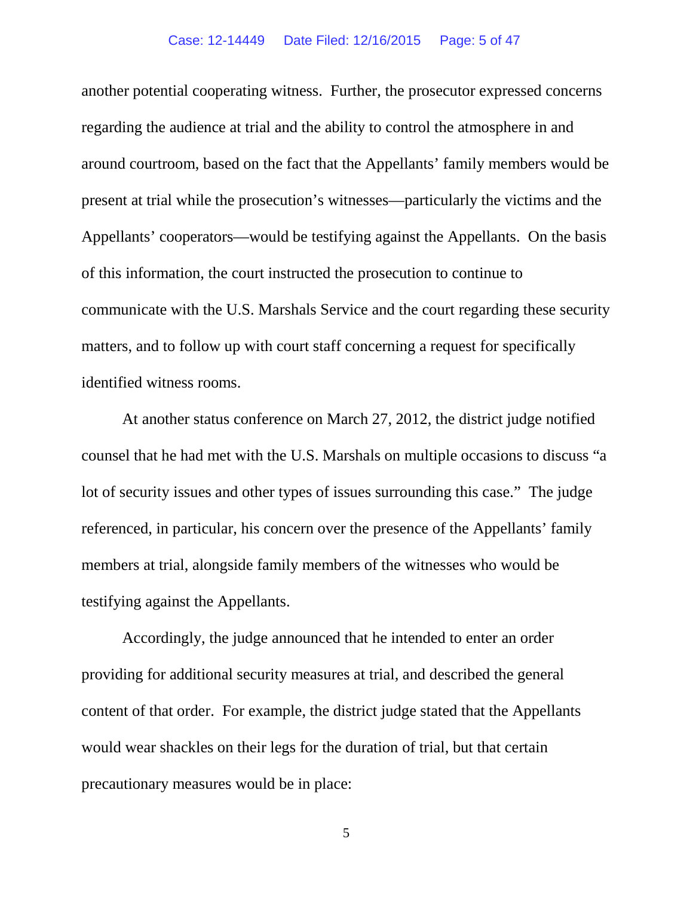#### Case: 12-14449 Date Filed: 12/16/2015 Page: 5 of 47

another potential cooperating witness. Further, the prosecutor expressed concerns regarding the audience at trial and the ability to control the atmosphere in and around courtroom, based on the fact that the Appellants' family members would be present at trial while the prosecution's witnesses—particularly the victims and the Appellants' cooperators—would be testifying against the Appellants. On the basis of this information, the court instructed the prosecution to continue to communicate with the U.S. Marshals Service and the court regarding these security matters, and to follow up with court staff concerning a request for specifically identified witness rooms.

At another status conference on March 27, 2012, the district judge notified counsel that he had met with the U.S. Marshals on multiple occasions to discuss "a lot of security issues and other types of issues surrounding this case." The judge referenced, in particular, his concern over the presence of the Appellants' family members at trial, alongside family members of the witnesses who would be testifying against the Appellants.

Accordingly, the judge announced that he intended to enter an order providing for additional security measures at trial, and described the general content of that order. For example, the district judge stated that the Appellants would wear shackles on their legs for the duration of trial, but that certain precautionary measures would be in place: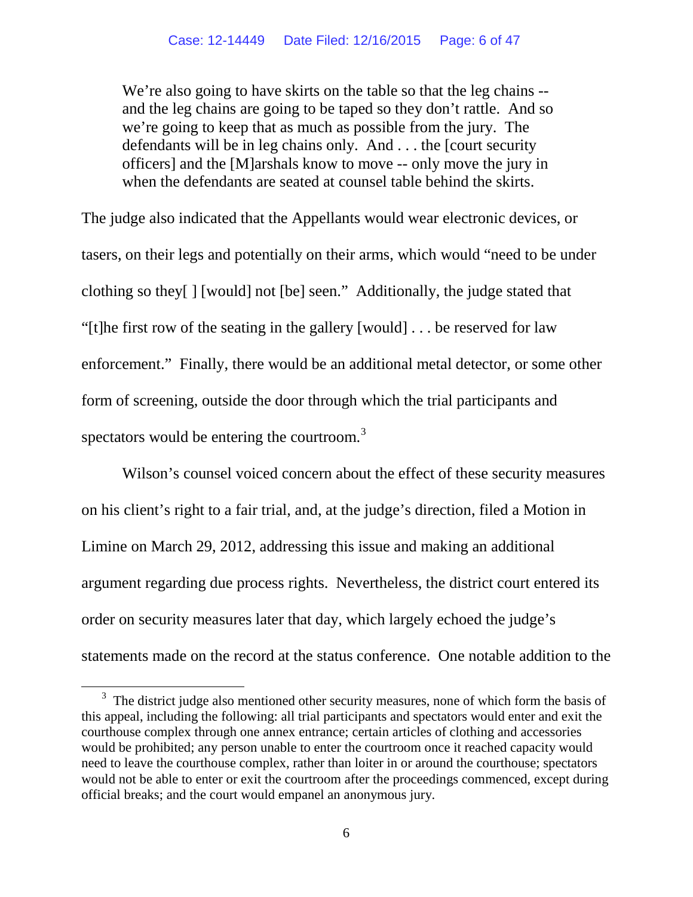We're also going to have skirts on the table so that the leg chains -and the leg chains are going to be taped so they don't rattle. And so we're going to keep that as much as possible from the jury. The defendants will be in leg chains only. And . . . the [court security officers] and the [M]arshals know to move -- only move the jury in when the defendants are seated at counsel table behind the skirts.

The judge also indicated that the Appellants would wear electronic devices, or tasers, on their legs and potentially on their arms, which would "need to be under clothing so they[ ] [would] not [be] seen." Additionally, the judge stated that "[t]he first row of the seating in the gallery [would] . . . be reserved for law enforcement." Finally, there would be an additional metal detector, or some other form of screening, outside the door through which the trial participants and spectators would be entering the courtroom. $3$ 

Wilson's counsel voiced concern about the effect of these security measures on his client's right to a fair trial, and, at the judge's direction, filed a Motion in Limine on March 29, 2012, addressing this issue and making an additional argument regarding due process rights. Nevertheless, the district court entered its order on security measures later that day, which largely echoed the judge's statements made on the record at the status conference. One notable addition to the

<span id="page-5-0"></span><sup>&</sup>lt;sup>3</sup> The district judge also mentioned other security measures, none of which form the basis of this appeal, including the following: all trial participants and spectators would enter and exit the courthouse complex through one annex entrance; certain articles of clothing and accessories would be prohibited; any person unable to enter the courtroom once it reached capacity would need to leave the courthouse complex, rather than loiter in or around the courthouse; spectators would not be able to enter or exit the courtroom after the proceedings commenced, except during official breaks; and the court would empanel an anonymous jury.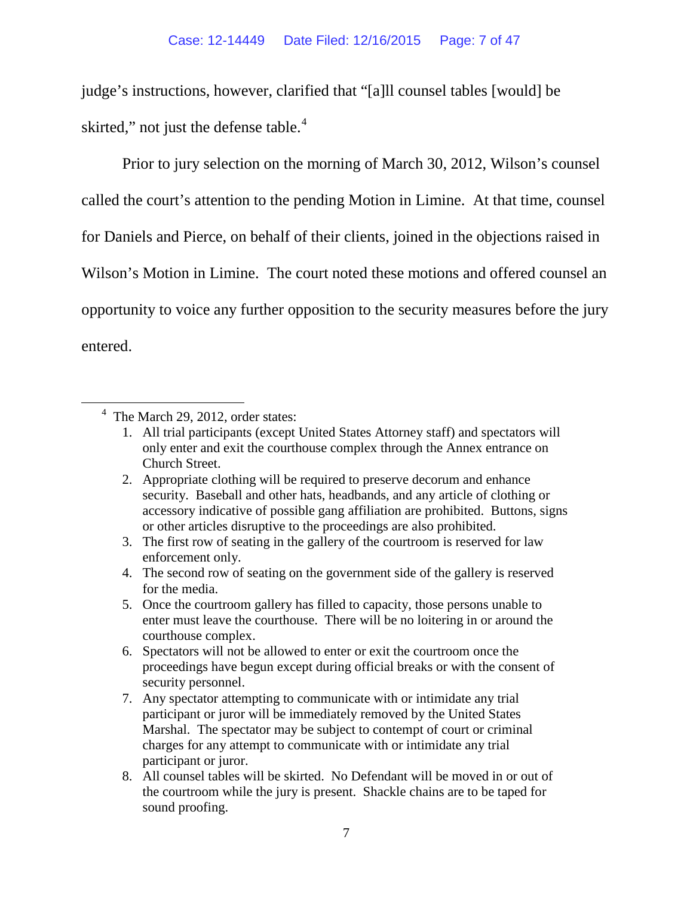judge's instructions, however, clarified that "[a]ll counsel tables [would] be skirted," not just the defense table.<sup>[4](#page-6-0)</sup>

Prior to jury selection on the morning of March 30, 2012, Wilson's counsel called the court's attention to the pending Motion in Limine. At that time, counsel for Daniels and Pierce, on behalf of their clients, joined in the objections raised in Wilson's Motion in Limine. The court noted these motions and offered counsel an opportunity to voice any further opposition to the security measures before the jury entered.

- 4. The second row of seating on the government side of the gallery is reserved for the media.
- 5. Once the courtroom gallery has filled to capacity, those persons unable to enter must leave the courthouse. There will be no loitering in or around the courthouse complex.
- 6. Spectators will not be allowed to enter or exit the courtroom once the proceedings have begun except during official breaks or with the consent of security personnel.
- 7. Any spectator attempting to communicate with or intimidate any trial participant or juror will be immediately removed by the United States Marshal. The spectator may be subject to contempt of court or criminal charges for any attempt to communicate with or intimidate any trial participant or juror.
- 8. All counsel tables will be skirted. No Defendant will be moved in or out of the courtroom while the jury is present. Shackle chains are to be taped for sound proofing.

<span id="page-6-0"></span><sup>&</sup>lt;sup>4</sup> The March 29, 2012, order states:

<sup>1.</sup> All trial participants (except United States Attorney staff) and spectators will only enter and exit the courthouse complex through the Annex entrance on Church Street.

<sup>2.</sup> Appropriate clothing will be required to preserve decorum and enhance security. Baseball and other hats, headbands, and any article of clothing or accessory indicative of possible gang affiliation are prohibited. Buttons, signs or other articles disruptive to the proceedings are also prohibited.

<sup>3.</sup> The first row of seating in the gallery of the courtroom is reserved for law enforcement only.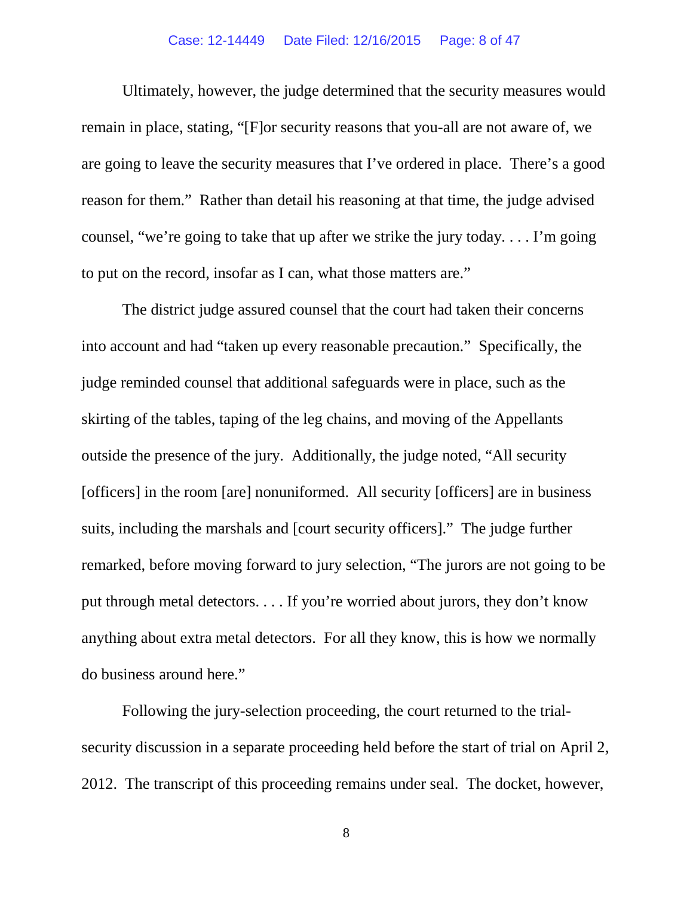### Case: 12-14449 Date Filed: 12/16/2015 Page: 8 of 47

Ultimately, however, the judge determined that the security measures would remain in place, stating, "[F]or security reasons that you-all are not aware of, we are going to leave the security measures that I've ordered in place. There's a good reason for them." Rather than detail his reasoning at that time, the judge advised counsel, "we're going to take that up after we strike the jury today. . . . I'm going to put on the record, insofar as I can, what those matters are."

The district judge assured counsel that the court had taken their concerns into account and had "taken up every reasonable precaution." Specifically, the judge reminded counsel that additional safeguards were in place, such as the skirting of the tables, taping of the leg chains, and moving of the Appellants outside the presence of the jury. Additionally, the judge noted, "All security [officers] in the room [are] nonuniformed. All security [officers] are in business suits, including the marshals and [court security officers]." The judge further remarked, before moving forward to jury selection, "The jurors are not going to be put through metal detectors. . . . If you're worried about jurors, they don't know anything about extra metal detectors. For all they know, this is how we normally do business around here."

Following the jury-selection proceeding, the court returned to the trialsecurity discussion in a separate proceeding held before the start of trial on April 2, 2012. The transcript of this proceeding remains under seal. The docket, however,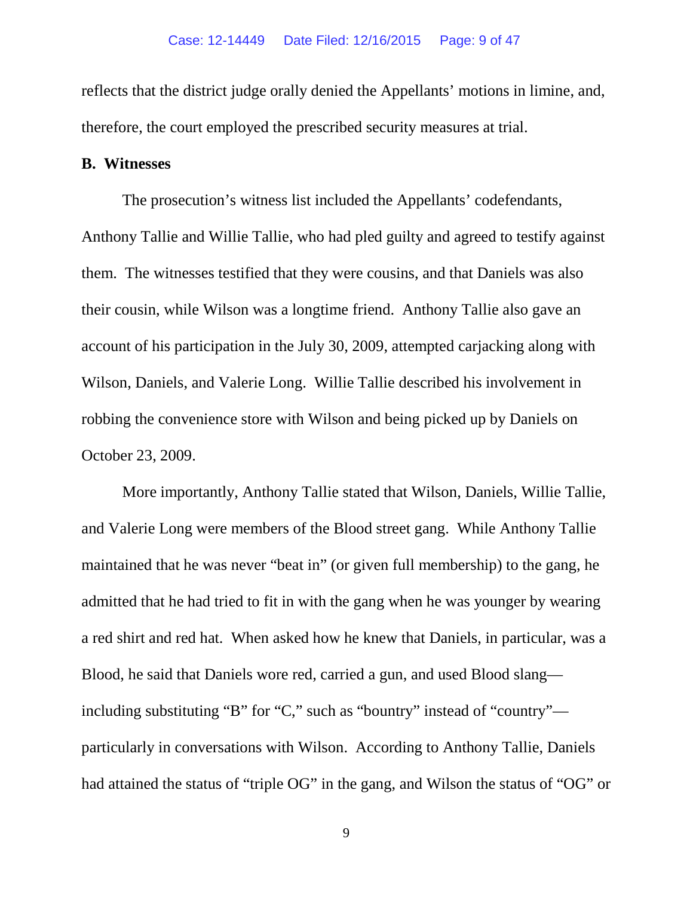reflects that the district judge orally denied the Appellants' motions in limine, and, therefore, the court employed the prescribed security measures at trial.

## **B. Witnesses**

The prosecution's witness list included the Appellants' codefendants, Anthony Tallie and Willie Tallie, who had pled guilty and agreed to testify against them. The witnesses testified that they were cousins, and that Daniels was also their cousin, while Wilson was a longtime friend. Anthony Tallie also gave an account of his participation in the July 30, 2009, attempted carjacking along with Wilson, Daniels, and Valerie Long. Willie Tallie described his involvement in robbing the convenience store with Wilson and being picked up by Daniels on October 23, 2009.

More importantly, Anthony Tallie stated that Wilson, Daniels, Willie Tallie, and Valerie Long were members of the Blood street gang. While Anthony Tallie maintained that he was never "beat in" (or given full membership) to the gang, he admitted that he had tried to fit in with the gang when he was younger by wearing a red shirt and red hat. When asked how he knew that Daniels, in particular, was a Blood, he said that Daniels wore red, carried a gun, and used Blood slang including substituting "B" for "C," such as "bountry" instead of "country" particularly in conversations with Wilson. According to Anthony Tallie, Daniels had attained the status of "triple OG" in the gang, and Wilson the status of "OG" or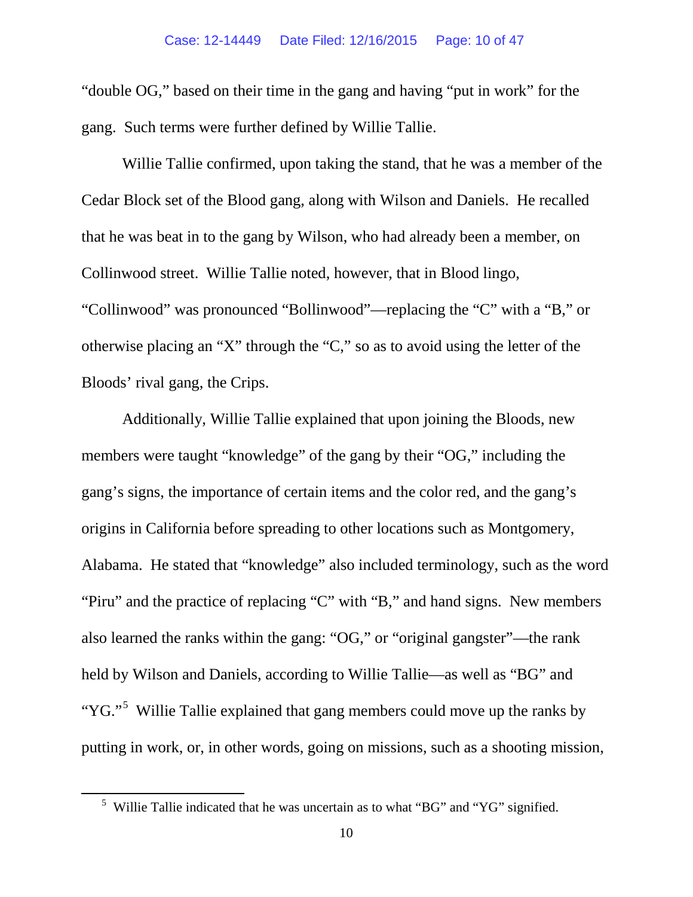"double OG," based on their time in the gang and having "put in work" for the gang. Such terms were further defined by Willie Tallie.

Willie Tallie confirmed, upon taking the stand, that he was a member of the Cedar Block set of the Blood gang, along with Wilson and Daniels. He recalled that he was beat in to the gang by Wilson, who had already been a member, on Collinwood street. Willie Tallie noted, however, that in Blood lingo, "Collinwood" was pronounced "Bollinwood"—replacing the "C" with a "B," or otherwise placing an "X" through the "C," so as to avoid using the letter of the Bloods' rival gang, the Crips.

Additionally, Willie Tallie explained that upon joining the Bloods, new members were taught "knowledge" of the gang by their "OG," including the gang's signs, the importance of certain items and the color red, and the gang's origins in California before spreading to other locations such as Montgomery, Alabama. He stated that "knowledge" also included terminology, such as the word "Piru" and the practice of replacing "C" with "B," and hand signs. New members also learned the ranks within the gang: "OG," or "original gangster"—the rank held by Wilson and Daniels, according to Willie Tallie—as well as "BG" and "YG."<sup>[5](#page-9-0)</sup> Willie Tallie explained that gang members could move up the ranks by putting in work, or, in other words, going on missions, such as a shooting mission,

<span id="page-9-0"></span><sup>5</sup> Willie Tallie indicated that he was uncertain as to what "BG" and "YG" signified.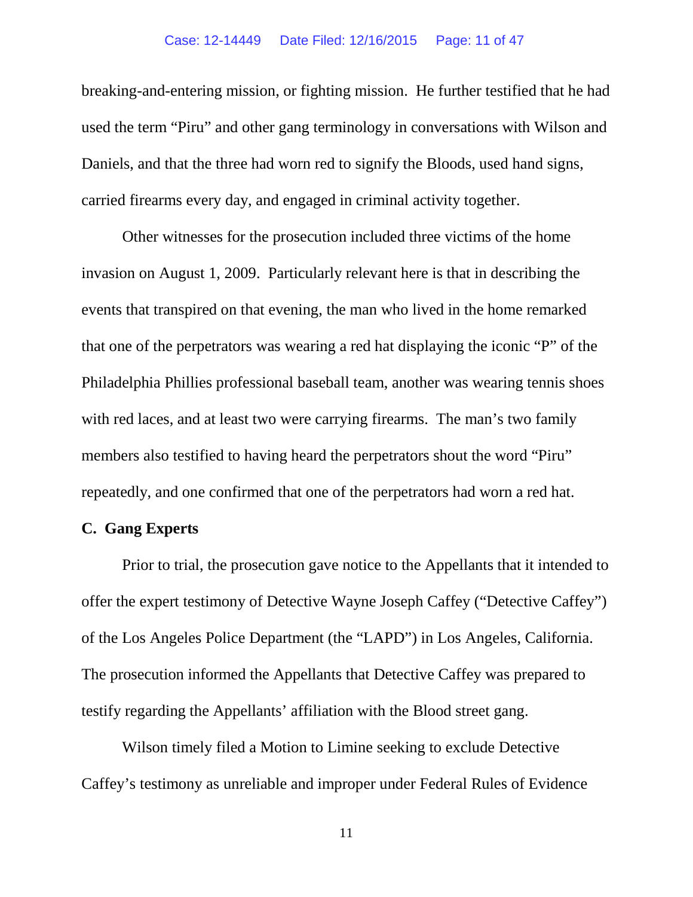### Case: 12-14449 Date Filed: 12/16/2015 Page: 11 of 47

breaking-and-entering mission, or fighting mission. He further testified that he had used the term "Piru" and other gang terminology in conversations with Wilson and Daniels, and that the three had worn red to signify the Bloods, used hand signs, carried firearms every day, and engaged in criminal activity together.

Other witnesses for the prosecution included three victims of the home invasion on August 1, 2009. Particularly relevant here is that in describing the events that transpired on that evening, the man who lived in the home remarked that one of the perpetrators was wearing a red hat displaying the iconic "P" of the Philadelphia Phillies professional baseball team, another was wearing tennis shoes with red laces, and at least two were carrying firearms. The man's two family members also testified to having heard the perpetrators shout the word "Piru" repeatedly, and one confirmed that one of the perpetrators had worn a red hat.

## **C. Gang Experts**

Prior to trial, the prosecution gave notice to the Appellants that it intended to offer the expert testimony of Detective Wayne Joseph Caffey ("Detective Caffey") of the Los Angeles Police Department (the "LAPD") in Los Angeles, California. The prosecution informed the Appellants that Detective Caffey was prepared to testify regarding the Appellants' affiliation with the Blood street gang.

Wilson timely filed a Motion to Limine seeking to exclude Detective Caffey's testimony as unreliable and improper under Federal Rules of Evidence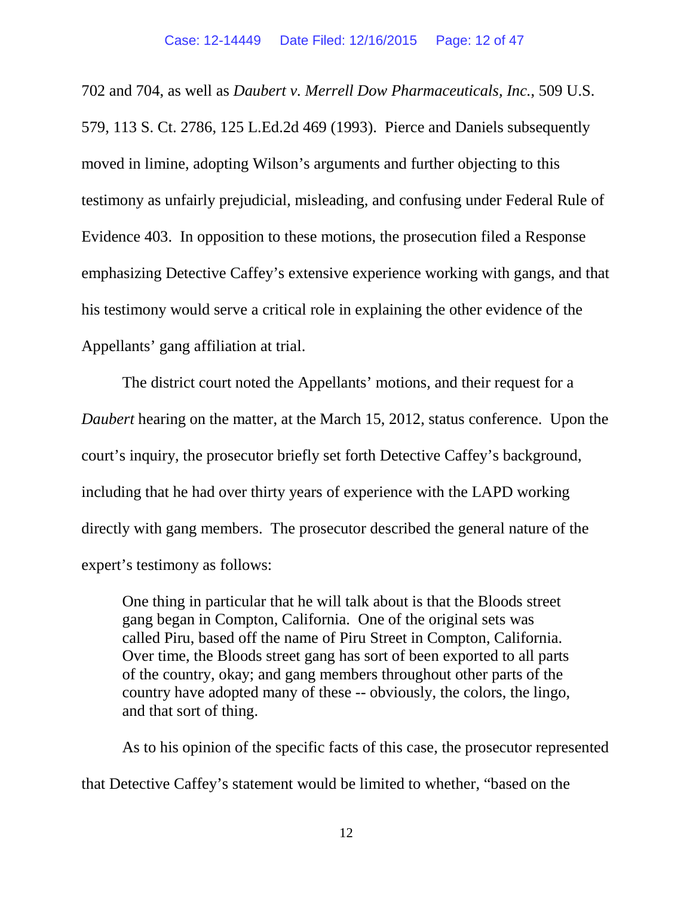702 and 704, as well as *Daubert v. Merrell Dow Pharmaceuticals, Inc.*, 509 U.S. 579, 113 S. Ct. 2786, 125 L.Ed.2d 469 (1993). Pierce and Daniels subsequently moved in limine, adopting Wilson's arguments and further objecting to this testimony as unfairly prejudicial, misleading, and confusing under Federal Rule of Evidence 403. In opposition to these motions, the prosecution filed a Response emphasizing Detective Caffey's extensive experience working with gangs, and that his testimony would serve a critical role in explaining the other evidence of the Appellants' gang affiliation at trial.

The district court noted the Appellants' motions, and their request for a *Daubert* hearing on the matter, at the March 15, 2012, status conference. Upon the court's inquiry, the prosecutor briefly set forth Detective Caffey's background, including that he had over thirty years of experience with the LAPD working directly with gang members. The prosecutor described the general nature of the expert's testimony as follows:

One thing in particular that he will talk about is that the Bloods street gang began in Compton, California. One of the original sets was called Piru, based off the name of Piru Street in Compton, California. Over time, the Bloods street gang has sort of been exported to all parts of the country, okay; and gang members throughout other parts of the country have adopted many of these -- obviously, the colors, the lingo, and that sort of thing.

As to his opinion of the specific facts of this case, the prosecutor represented that Detective Caffey's statement would be limited to whether, "based on the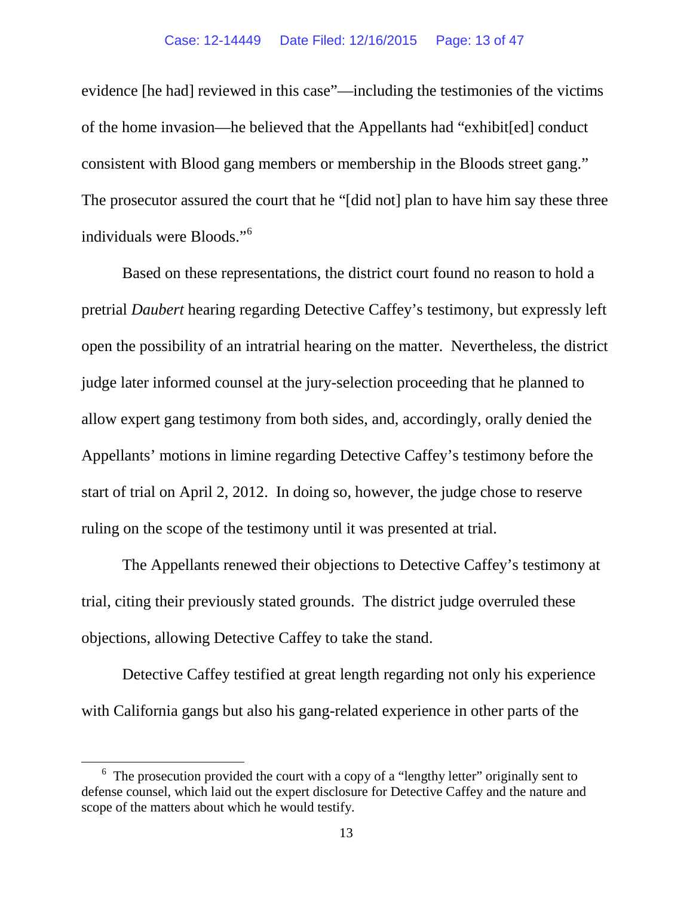evidence [he had] reviewed in this case"—including the testimonies of the victims of the home invasion—he believed that the Appellants had "exhibit[ed] conduct consistent with Blood gang members or membership in the Bloods street gang." The prosecutor assured the court that he "[did not] plan to have him say these three individuals were Bloods."[6](#page-12-0)

Based on these representations, the district court found no reason to hold a pretrial *Daubert* hearing regarding Detective Caffey's testimony, but expressly left open the possibility of an intratrial hearing on the matter. Nevertheless, the district judge later informed counsel at the jury-selection proceeding that he planned to allow expert gang testimony from both sides, and, accordingly, orally denied the Appellants' motions in limine regarding Detective Caffey's testimony before the start of trial on April 2, 2012. In doing so, however, the judge chose to reserve ruling on the scope of the testimony until it was presented at trial.

The Appellants renewed their objections to Detective Caffey's testimony at trial, citing their previously stated grounds. The district judge overruled these objections, allowing Detective Caffey to take the stand.

Detective Caffey testified at great length regarding not only his experience with California gangs but also his gang-related experience in other parts of the

<span id="page-12-0"></span><sup>&</sup>lt;sup>6</sup> The prosecution provided the court with a copy of a "lengthy letter" originally sent to defense counsel, which laid out the expert disclosure for Detective Caffey and the nature and scope of the matters about which he would testify.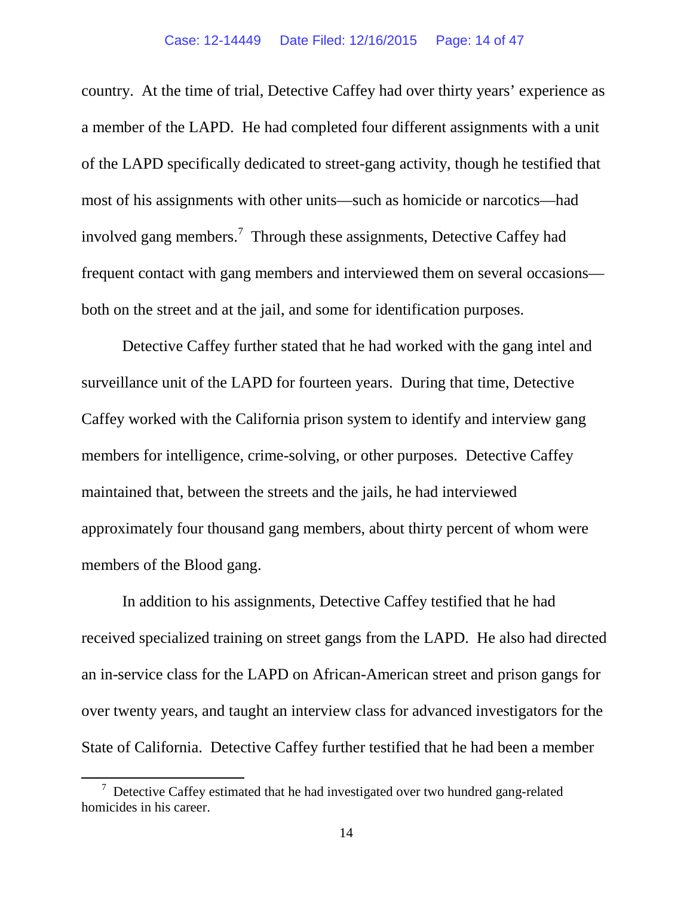country. At the time of trial, Detective Caffey had over thirty years' experience as a member of the LAPD. He had completed four different assignments with a unit of the LAPD specifically dedicated to street-gang activity, though he testified that most of his assignments with other units—such as homicide or narcotics—had involved gang members.<sup>[7](#page-13-0)</sup> Through these assignments, Detective Caffey had frequent contact with gang members and interviewed them on several occasions both on the street and at the jail, and some for identification purposes.

Detective Caffey further stated that he had worked with the gang intel and surveillance unit of the LAPD for fourteen years. During that time, Detective Caffey worked with the California prison system to identify and interview gang members for intelligence, crime-solving, or other purposes. Detective Caffey maintained that, between the streets and the jails, he had interviewed approximately four thousand gang members, about thirty percent of whom were members of the Blood gang.

In addition to his assignments, Detective Caffey testified that he had received specialized training on street gangs from the LAPD. He also had directed an in-service class for the LAPD on African-American street and prison gangs for over twenty years, and taught an interview class for advanced investigators for the State of California. Detective Caffey further testified that he had been a member

<span id="page-13-0"></span><sup>&</sup>lt;sup>7</sup> Detective Caffey estimated that he had investigated over two hundred gang-related homicides in his career.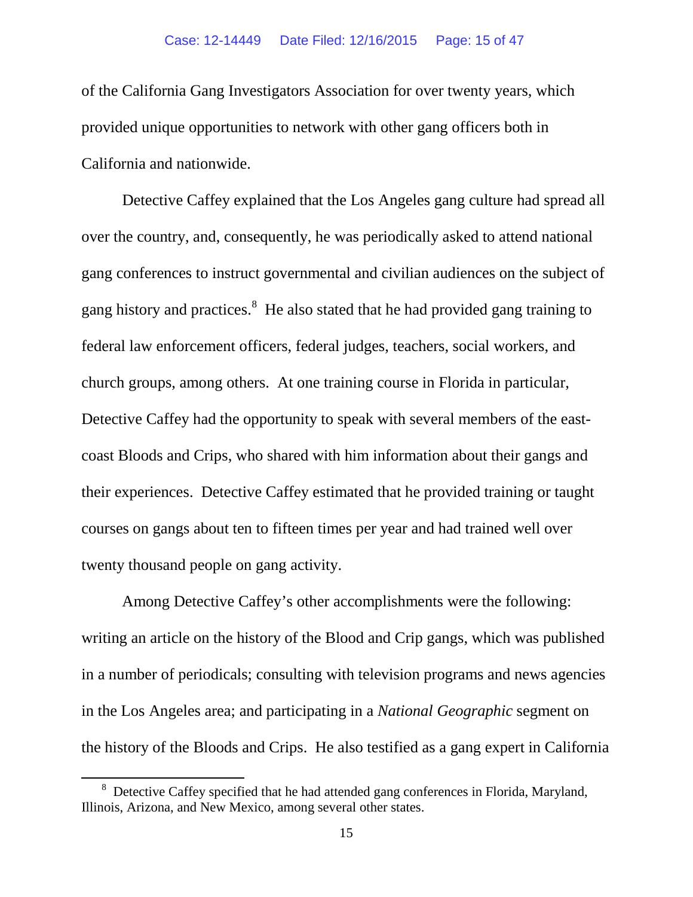of the California Gang Investigators Association for over twenty years, which provided unique opportunities to network with other gang officers both in California and nationwide.

Detective Caffey explained that the Los Angeles gang culture had spread all over the country, and, consequently, he was periodically asked to attend national gang conferences to instruct governmental and civilian audiences on the subject of gang history and practices.<sup>[8](#page-14-0)</sup> He also stated that he had provided gang training to federal law enforcement officers, federal judges, teachers, social workers, and church groups, among others. At one training course in Florida in particular, Detective Caffey had the opportunity to speak with several members of the eastcoast Bloods and Crips, who shared with him information about their gangs and their experiences. Detective Caffey estimated that he provided training or taught courses on gangs about ten to fifteen times per year and had trained well over twenty thousand people on gang activity.

Among Detective Caffey's other accomplishments were the following: writing an article on the history of the Blood and Crip gangs, which was published in a number of periodicals; consulting with television programs and news agencies in the Los Angeles area; and participating in a *National Geographic* segment on the history of the Bloods and Crips. He also testified as a gang expert in California

<span id="page-14-0"></span><sup>&</sup>lt;sup>8</sup> Detective Caffey specified that he had attended gang conferences in Florida, Maryland, Illinois, Arizona, and New Mexico, among several other states.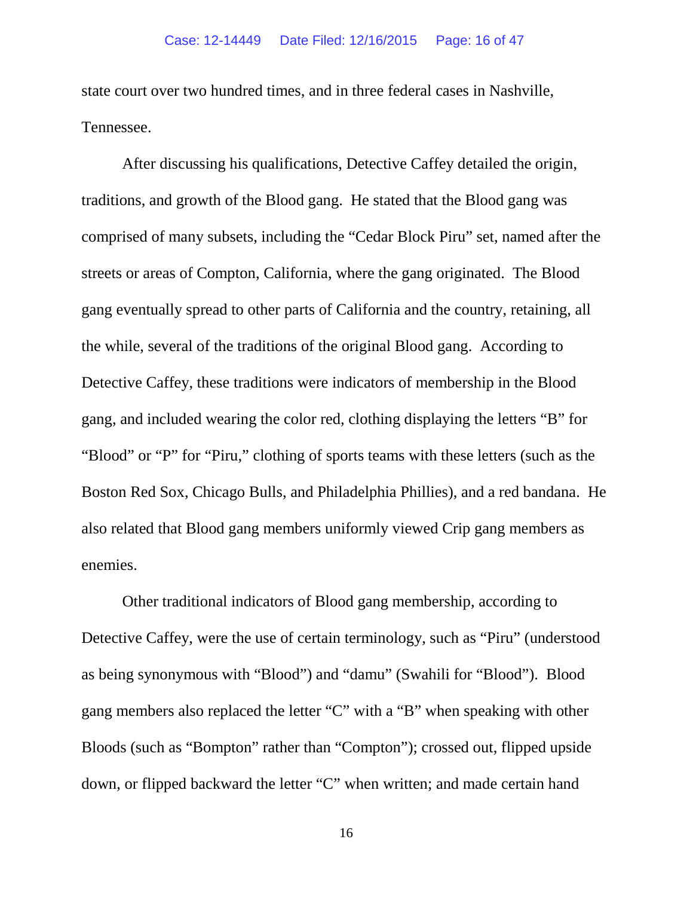state court over two hundred times, and in three federal cases in Nashville, Tennessee.

After discussing his qualifications, Detective Caffey detailed the origin, traditions, and growth of the Blood gang. He stated that the Blood gang was comprised of many subsets, including the "Cedar Block Piru" set, named after the streets or areas of Compton, California, where the gang originated. The Blood gang eventually spread to other parts of California and the country, retaining, all the while, several of the traditions of the original Blood gang. According to Detective Caffey, these traditions were indicators of membership in the Blood gang, and included wearing the color red, clothing displaying the letters "B" for "Blood" or "P" for "Piru," clothing of sports teams with these letters (such as the Boston Red Sox, Chicago Bulls, and Philadelphia Phillies), and a red bandana. He also related that Blood gang members uniformly viewed Crip gang members as enemies.

Other traditional indicators of Blood gang membership, according to Detective Caffey, were the use of certain terminology, such as "Piru" (understood as being synonymous with "Blood") and "damu" (Swahili for "Blood"). Blood gang members also replaced the letter "C" with a "B" when speaking with other Bloods (such as "Bompton" rather than "Compton"); crossed out, flipped upside down, or flipped backward the letter "C" when written; and made certain hand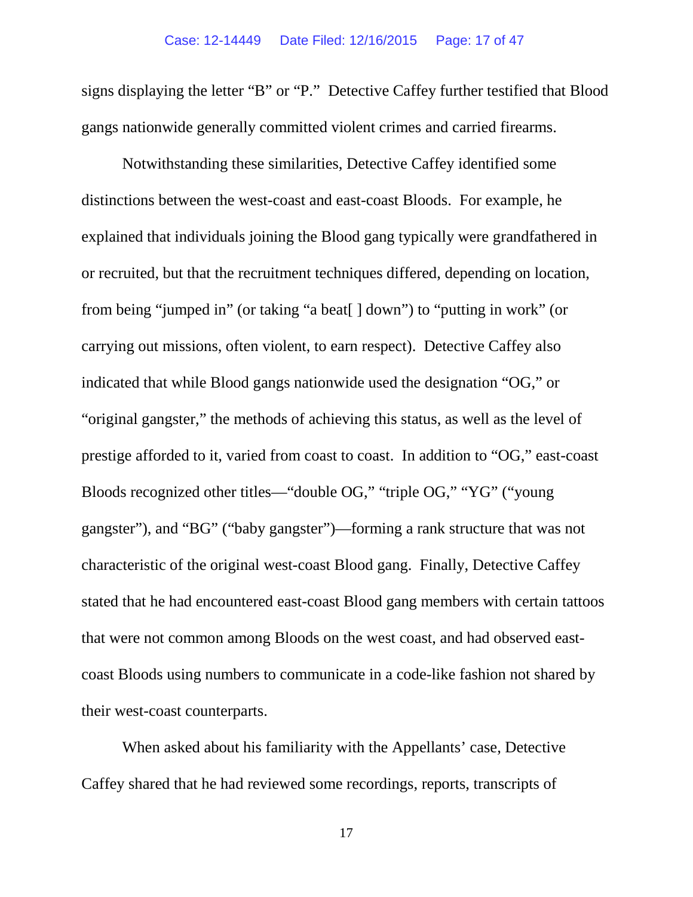signs displaying the letter "B" or "P." Detective Caffey further testified that Blood gangs nationwide generally committed violent crimes and carried firearms.

Notwithstanding these similarities, Detective Caffey identified some distinctions between the west-coast and east-coast Bloods. For example, he explained that individuals joining the Blood gang typically were grandfathered in or recruited, but that the recruitment techniques differed, depending on location, from being "jumped in" (or taking "a beat[ ] down") to "putting in work" (or carrying out missions, often violent, to earn respect). Detective Caffey also indicated that while Blood gangs nationwide used the designation "OG," or "original gangster," the methods of achieving this status, as well as the level of prestige afforded to it, varied from coast to coast. In addition to "OG," east-coast Bloods recognized other titles—"double OG," "triple OG," "YG" ("young gangster"), and "BG" ("baby gangster")—forming a rank structure that was not characteristic of the original west-coast Blood gang. Finally, Detective Caffey stated that he had encountered east-coast Blood gang members with certain tattoos that were not common among Bloods on the west coast, and had observed eastcoast Bloods using numbers to communicate in a code-like fashion not shared by their west-coast counterparts.

When asked about his familiarity with the Appellants' case, Detective Caffey shared that he had reviewed some recordings, reports, transcripts of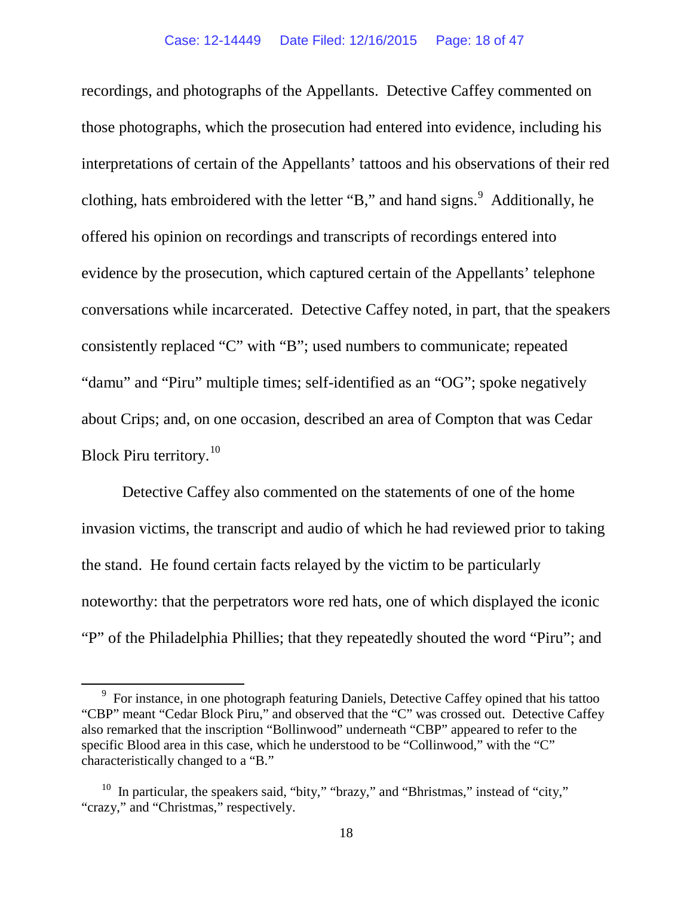recordings, and photographs of the Appellants. Detective Caffey commented on those photographs, which the prosecution had entered into evidence, including his interpretations of certain of the Appellants' tattoos and his observations of their red clothing, hats embroidered with the letter "B," and hand signs.<sup>[9](#page-17-0)</sup> Additionally, he offered his opinion on recordings and transcripts of recordings entered into evidence by the prosecution, which captured certain of the Appellants' telephone conversations while incarcerated. Detective Caffey noted, in part, that the speakers consistently replaced "C" with "B"; used numbers to communicate; repeated "damu" and "Piru" multiple times; self-identified as an "OG"; spoke negatively about Crips; and, on one occasion, described an area of Compton that was Cedar Block Piru territory.<sup>10</sup>

Detective Caffey also commented on the statements of one of the home invasion victims, the transcript and audio of which he had reviewed prior to taking the stand. He found certain facts relayed by the victim to be particularly noteworthy: that the perpetrators wore red hats, one of which displayed the iconic "P" of the Philadelphia Phillies; that they repeatedly shouted the word "Piru"; and

<span id="page-17-0"></span><sup>&</sup>lt;sup>9</sup> For instance, in one photograph featuring Daniels, Detective Caffey opined that his tattoo "CBP" meant "Cedar Block Piru," and observed that the "C" was crossed out. Detective Caffey also remarked that the inscription "Bollinwood" underneath "CBP" appeared to refer to the specific Blood area in this case, which he understood to be "Collinwood," with the "C" characteristically changed to a "B."

<span id="page-17-1"></span> $10$  In particular, the speakers said, "bity," "brazy," and "Bhristmas," instead of "city," "crazy," and "Christmas," respectively.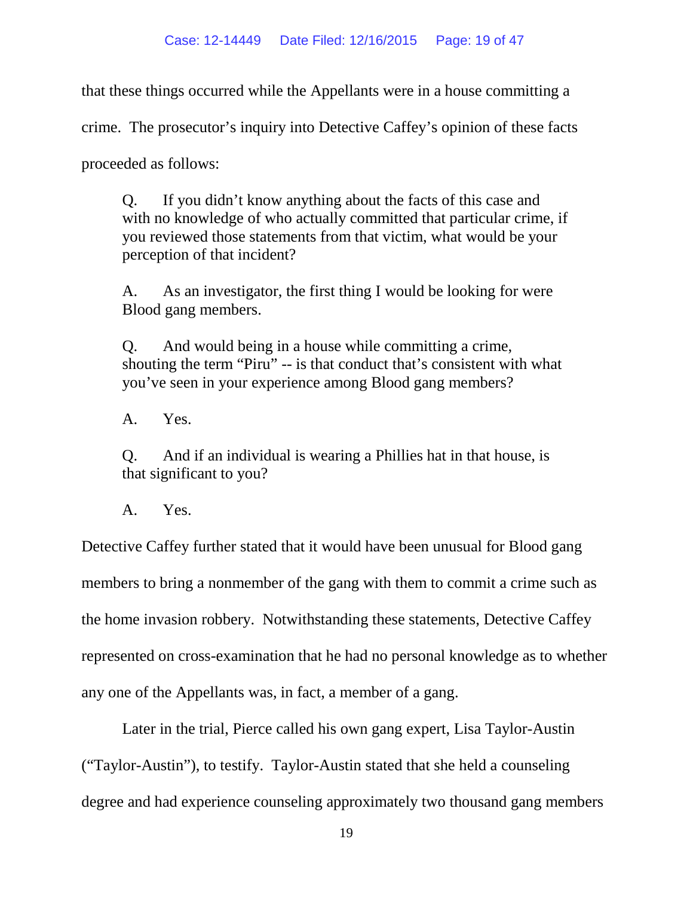that these things occurred while the Appellants were in a house committing a

crime. The prosecutor's inquiry into Detective Caffey's opinion of these facts

proceeded as follows:

Q. If you didn't know anything about the facts of this case and with no knowledge of who actually committed that particular crime, if you reviewed those statements from that victim, what would be your perception of that incident?

A. As an investigator, the first thing I would be looking for were Blood gang members.

Q. And would being in a house while committing a crime, shouting the term "Piru" -- is that conduct that's consistent with what you've seen in your experience among Blood gang members?

A. Yes.

Q. And if an individual is wearing a Phillies hat in that house, is that significant to you?

A. Yes.

Detective Caffey further stated that it would have been unusual for Blood gang members to bring a nonmember of the gang with them to commit a crime such as the home invasion robbery. Notwithstanding these statements, Detective Caffey represented on cross-examination that he had no personal knowledge as to whether any one of the Appellants was, in fact, a member of a gang.

Later in the trial, Pierce called his own gang expert, Lisa Taylor-Austin ("Taylor-Austin"), to testify. Taylor-Austin stated that she held a counseling degree and had experience counseling approximately two thousand gang members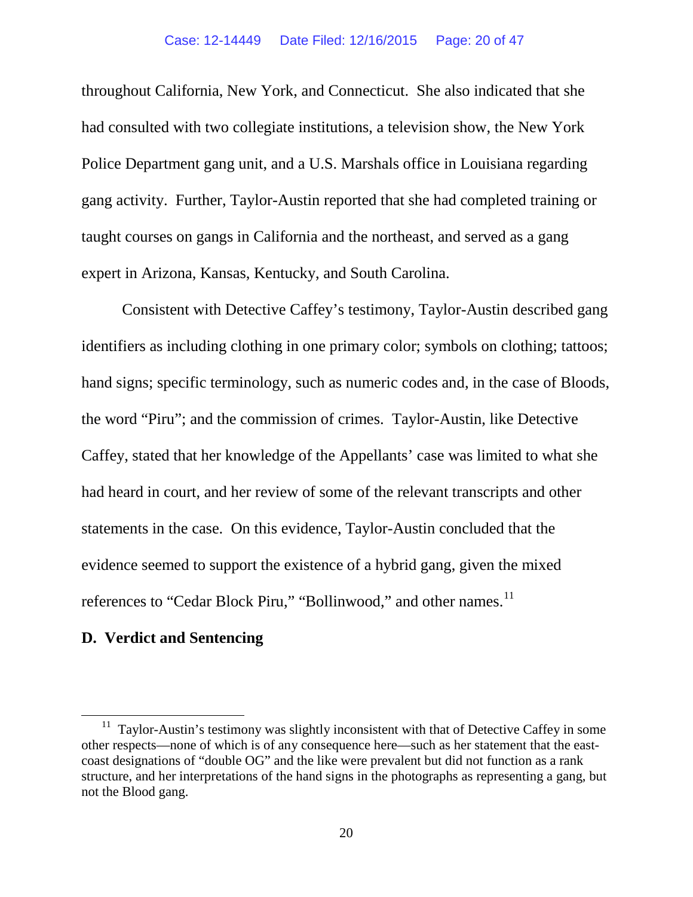throughout California, New York, and Connecticut. She also indicated that she had consulted with two collegiate institutions, a television show, the New York Police Department gang unit, and a U.S. Marshals office in Louisiana regarding gang activity. Further, Taylor-Austin reported that she had completed training or taught courses on gangs in California and the northeast, and served as a gang expert in Arizona, Kansas, Kentucky, and South Carolina.

Consistent with Detective Caffey's testimony, Taylor-Austin described gang identifiers as including clothing in one primary color; symbols on clothing; tattoos; hand signs; specific terminology, such as numeric codes and, in the case of Bloods, the word "Piru"; and the commission of crimes. Taylor-Austin, like Detective Caffey, stated that her knowledge of the Appellants' case was limited to what she had heard in court, and her review of some of the relevant transcripts and other statements in the case. On this evidence, Taylor-Austin concluded that the evidence seemed to support the existence of a hybrid gang, given the mixed references to "Cedar Block Piru," "Bollinwood," and other names.<sup>[11](#page-19-0)</sup>

## **D. Verdict and Sentencing**

<span id="page-19-0"></span> $11$  Taylor-Austin's testimony was slightly inconsistent with that of Detective Caffey in some other respects—none of which is of any consequence here—such as her statement that the eastcoast designations of "double OG" and the like were prevalent but did not function as a rank structure, and her interpretations of the hand signs in the photographs as representing a gang, but not the Blood gang.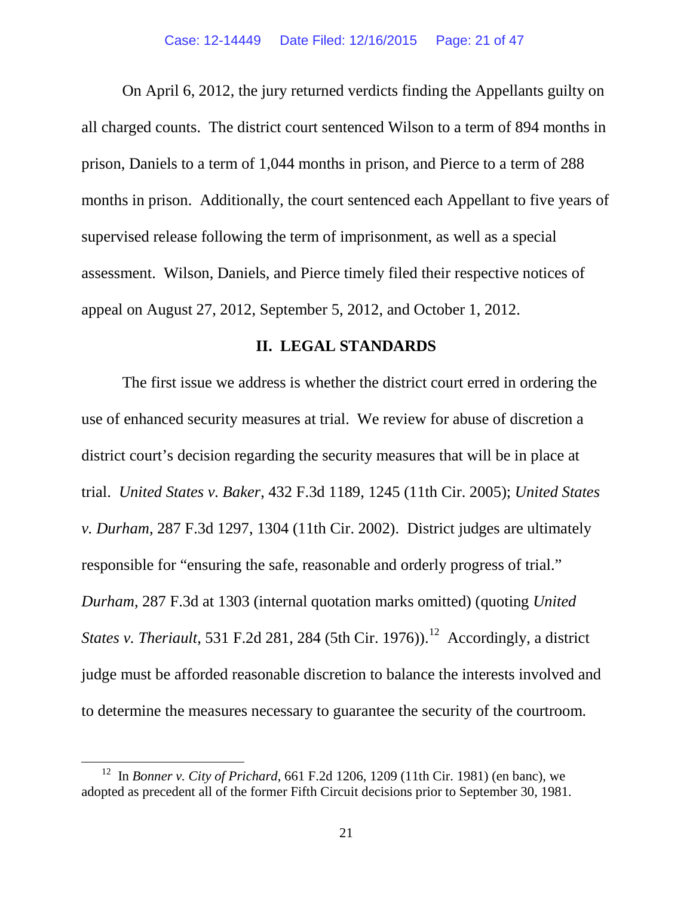On April 6, 2012, the jury returned verdicts finding the Appellants guilty on all charged counts. The district court sentenced Wilson to a term of 894 months in prison, Daniels to a term of 1,044 months in prison, and Pierce to a term of 288 months in prison. Additionally, the court sentenced each Appellant to five years of supervised release following the term of imprisonment, as well as a special assessment. Wilson, Daniels, and Pierce timely filed their respective notices of appeal on August 27, 2012, September 5, 2012, and October 1, 2012.

## **II. LEGAL STANDARDS**

The first issue we address is whether the district court erred in ordering the use of enhanced security measures at trial. We review for abuse of discretion a district court's decision regarding the security measures that will be in place at trial. *United States v. Baker*, 432 F.3d 1189, 1245 (11th Cir. 2005); *United States v. Durham*, 287 F.3d 1297, 1304 (11th Cir. 2002). District judges are ultimately responsible for "ensuring the safe, reasonable and orderly progress of trial." *Durham*, 287 F.3d at 1303 (internal quotation marks omitted) (quoting *United States v. Theriault*, 531 F.2d 281, 284 (5th Cir. 1976)). [12](#page-20-0) Accordingly, a district judge must be afforded reasonable discretion to balance the interests involved and to determine the measures necessary to guarantee the security of the courtroom.

<span id="page-20-0"></span>12 In *Bonner v. City of Prichard*, 661 F.2d 1206, 1209 (11th Cir. 1981) (en banc), we adopted as precedent all of the former Fifth Circuit decisions prior to September 30, 1981.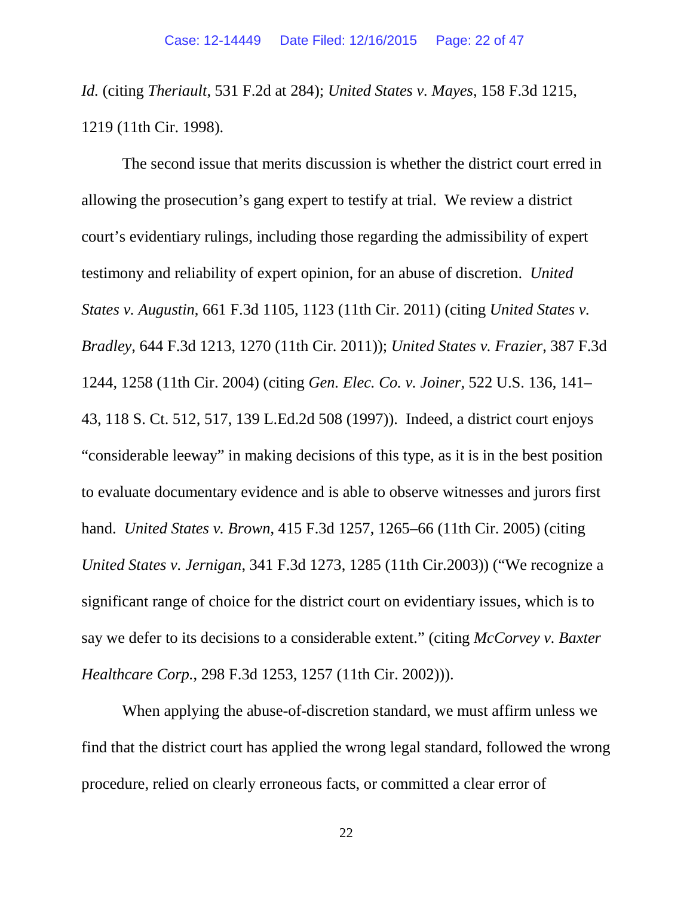*Id.* (citing *Theriault*, 531 F.2d at 284); *United States v. Mayes*, 158 F.3d 1215, 1219 (11th Cir. 1998).

The second issue that merits discussion is whether the district court erred in allowing the prosecution's gang expert to testify at trial. We review a district court's evidentiary rulings, including those regarding the admissibility of expert testimony and reliability of expert opinion, for an abuse of discretion. *United States v. Augustin*, 661 F.3d 1105, 1123 (11th Cir. 2011) (citing *United States v. Bradley*, 644 F.3d 1213, 1270 (11th Cir. 2011)); *United States v. Frazier*, 387 F.3d 1244, 1258 (11th Cir. 2004) (citing *Gen. Elec. Co. v. Joiner*, 522 U.S. 136, 141– 43, 118 S. Ct. 512, 517, 139 L.Ed.2d 508 (1997)). Indeed, a district court enjoys "considerable leeway" in making decisions of this type, as it is in the best position to evaluate documentary evidence and is able to observe witnesses and jurors first hand. *United States v. Brown*, 415 F.3d 1257, 1265–66 (11th Cir. 2005) (citing *United States v. Jernigan*, 341 F.3d 1273, 1285 (11th Cir.2003)) ("We recognize a significant range of choice for the district court on evidentiary issues, which is to say we defer to its decisions to a considerable extent." (citing *McCorvey v. Baxter Healthcare Corp.*, 298 F.3d 1253, 1257 (11th Cir. 2002))).

When applying the abuse-of-discretion standard, we must affirm unless we find that the district court has applied the wrong legal standard, followed the wrong procedure, relied on clearly erroneous facts, or committed a clear error of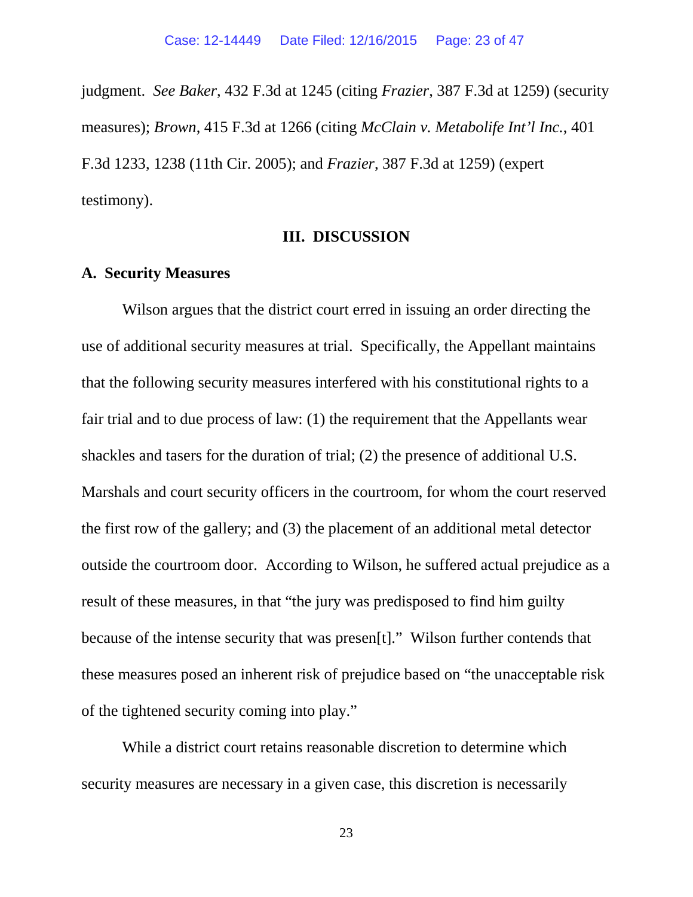judgment. *See Baker*, 432 F.3d at 1245 (citing *Frazier*, 387 F.3d at 1259) (security measures); *Brown*, 415 F.3d at 1266 (citing *McClain v. Metabolife Int'l Inc.*, 401 F.3d 1233, 1238 (11th Cir. 2005); and *Frazier*, 387 F.3d at 1259) (expert testimony).

### **III. DISCUSSION**

## **A. Security Measures**

Wilson argues that the district court erred in issuing an order directing the use of additional security measures at trial. Specifically, the Appellant maintains that the following security measures interfered with his constitutional rights to a fair trial and to due process of law: (1) the requirement that the Appellants wear shackles and tasers for the duration of trial; (2) the presence of additional U.S. Marshals and court security officers in the courtroom, for whom the court reserved the first row of the gallery; and (3) the placement of an additional metal detector outside the courtroom door. According to Wilson, he suffered actual prejudice as a result of these measures, in that "the jury was predisposed to find him guilty because of the intense security that was presen[t]." Wilson further contends that these measures posed an inherent risk of prejudice based on "the unacceptable risk of the tightened security coming into play."

While a district court retains reasonable discretion to determine which security measures are necessary in a given case, this discretion is necessarily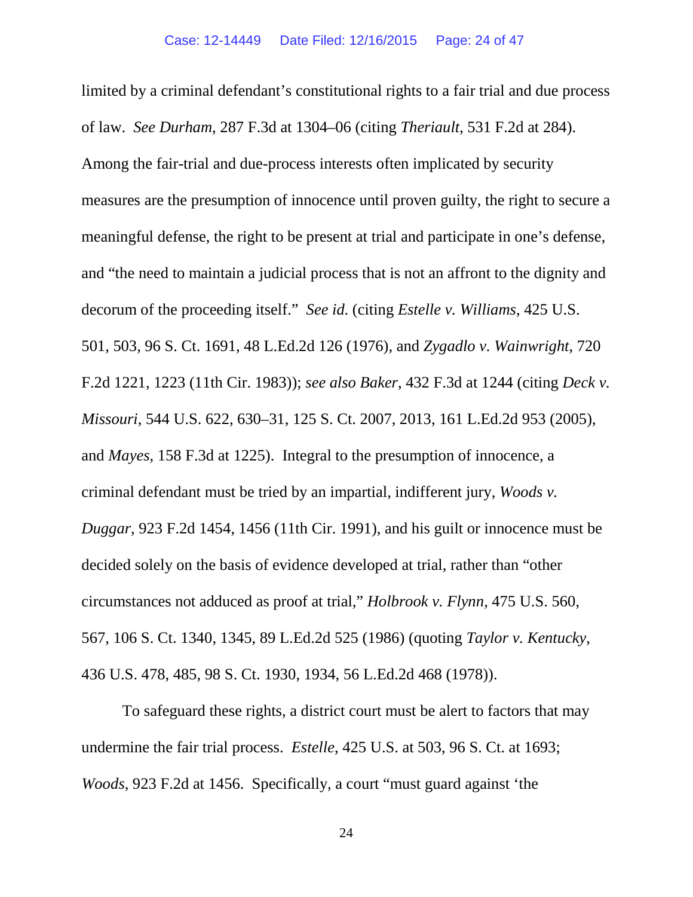limited by a criminal defendant's constitutional rights to a fair trial and due process of law. *See Durham*, 287 F.3d at 1304–06 (citing *Theriault*, 531 F.2d at 284). Among the fair-trial and due-process interests often implicated by security measures are the presumption of innocence until proven guilty, the right to secure a meaningful defense, the right to be present at trial and participate in one's defense, and "the need to maintain a judicial process that is not an affront to the dignity and decorum of the proceeding itself." *See id.* (citing *Estelle v. Williams*, 425 U.S. 501, 503, 96 S. Ct. 1691, 48 L.Ed.2d 126 (1976), and *Zygadlo v. Wainwright*, 720 F.2d 1221, 1223 (11th Cir. 1983)); *see also Baker*, 432 F.3d at 1244 (citing *Deck v. Missouri*, 544 U.S. 622, 630–31, 125 S. Ct. 2007, 2013, 161 L.Ed.2d 953 (2005), and *Mayes*, 158 F.3d at 1225). Integral to the presumption of innocence, a criminal defendant must be tried by an impartial, indifferent jury, *Woods v. Duggar*, 923 F.2d 1454, 1456 (11th Cir. 1991), and his guilt or innocence must be decided solely on the basis of evidence developed at trial, rather than "other circumstances not adduced as proof at trial," *Holbrook v. Flynn*, 475 U.S. 560, 567, 106 S. Ct. 1340, 1345, 89 L.Ed.2d 525 (1986) (quoting *Taylor v. Kentucky*, 436 U.S. 478, 485, 98 S. Ct. 1930, 1934, 56 L.Ed.2d 468 (1978)).

To safeguard these rights, a district court must be alert to factors that may undermine the fair trial process. *Estelle*, 425 U.S. at 503, 96 S. Ct. at 1693; *Woods*, 923 F.2d at 1456. Specifically, a court "must guard against 'the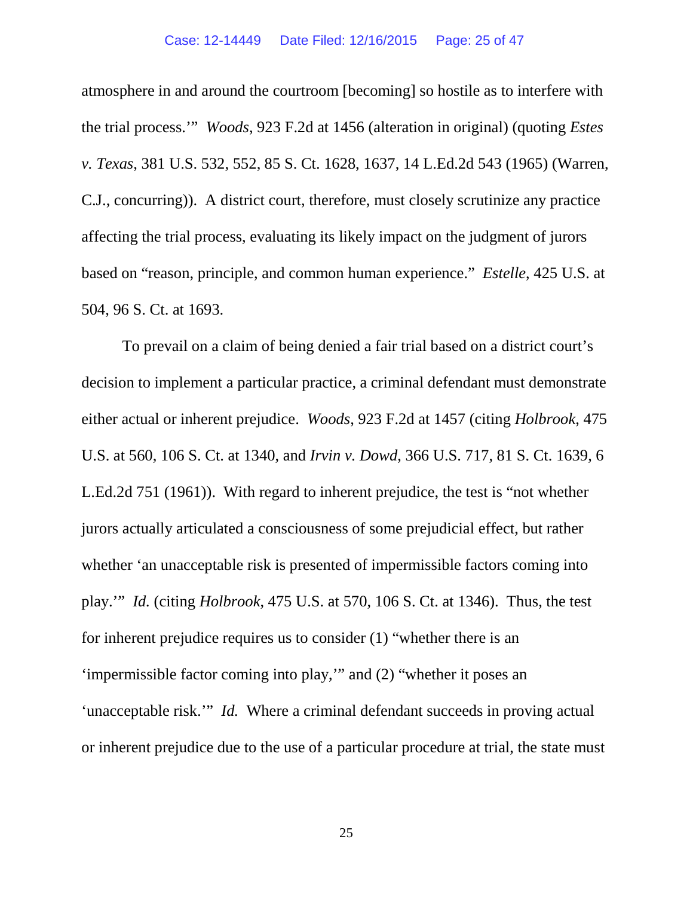atmosphere in and around the courtroom [becoming] so hostile as to interfere with the trial process.'" *Woods*, 923 F.2d at 1456 (alteration in original) (quoting *Estes v. Texas*, 381 U.S. 532, 552, 85 S. Ct. 1628, 1637, 14 L.Ed.2d 543 (1965) (Warren, C.J., concurring)). A district court, therefore, must closely scrutinize any practice affecting the trial process, evaluating its likely impact on the judgment of jurors based on "reason, principle, and common human experience." *Estelle*, 425 U.S. at 504, 96 S. Ct. at 1693.

To prevail on a claim of being denied a fair trial based on a district court's decision to implement a particular practice, a criminal defendant must demonstrate either actual or inherent prejudice. *Woods*, 923 F.2d at 1457 (citing *Holbrook*, 475 U.S. at 560, 106 S. Ct. at 1340, and *Irvin v. Dowd*, 366 U.S. 717, 81 S. Ct. 1639, 6 L.Ed.2d 751 (1961)). With regard to inherent prejudice, the test is "not whether jurors actually articulated a consciousness of some prejudicial effect, but rather whether 'an unacceptable risk is presented of impermissible factors coming into play.'" *Id.* (citing *Holbrook*, 475 U.S. at 570, 106 S. Ct. at 1346). Thus, the test for inherent prejudice requires us to consider (1) "whether there is an 'impermissible factor coming into play,'" and (2) "whether it poses an 'unacceptable risk.'" *Id.* Where a criminal defendant succeeds in proving actual or inherent prejudice due to the use of a particular procedure at trial, the state must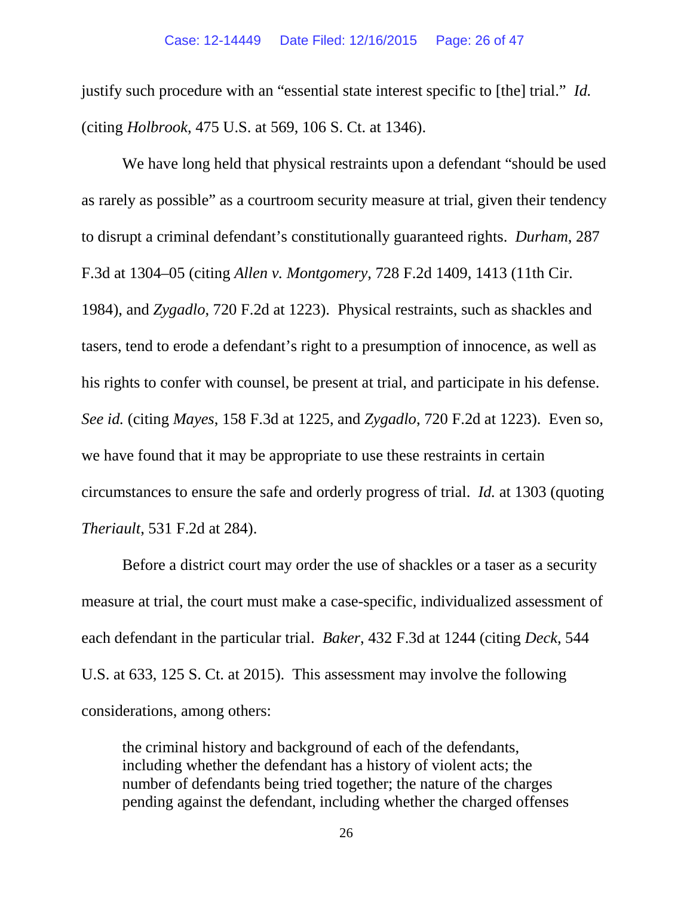justify such procedure with an "essential state interest specific to [the] trial." *Id.*  (citing *Holbrook*, 475 U.S. at 569, 106 S. Ct. at 1346).

We have long held that physical restraints upon a defendant "should be used as rarely as possible" as a courtroom security measure at trial, given their tendency to disrupt a criminal defendant's constitutionally guaranteed rights. *Durham*, 287 F.3d at 1304–05 (citing *Allen v. Montgomery*, 728 F.2d 1409, 1413 (11th Cir. 1984), and *Zygadlo*, 720 F.2d at 1223). Physical restraints, such as shackles and tasers, tend to erode a defendant's right to a presumption of innocence, as well as his rights to confer with counsel, be present at trial, and participate in his defense. *See id.* (citing *Mayes*, 158 F.3d at 1225, and *Zygadlo*, 720 F.2d at 1223). Even so, we have found that it may be appropriate to use these restraints in certain circumstances to ensure the safe and orderly progress of trial. *Id.* at 1303 (quoting *Theriault*, 531 F.2d at 284).

Before a district court may order the use of shackles or a taser as a security measure at trial, the court must make a case-specific, individualized assessment of each defendant in the particular trial. *Baker*, 432 F.3d at 1244 (citing *Deck*, 544 U.S. at 633, 125 S. Ct. at 2015). This assessment may involve the following considerations, among others:

the criminal history and background of each of the defendants, including whether the defendant has a history of violent acts; the number of defendants being tried together; the nature of the charges pending against the defendant, including whether the charged offenses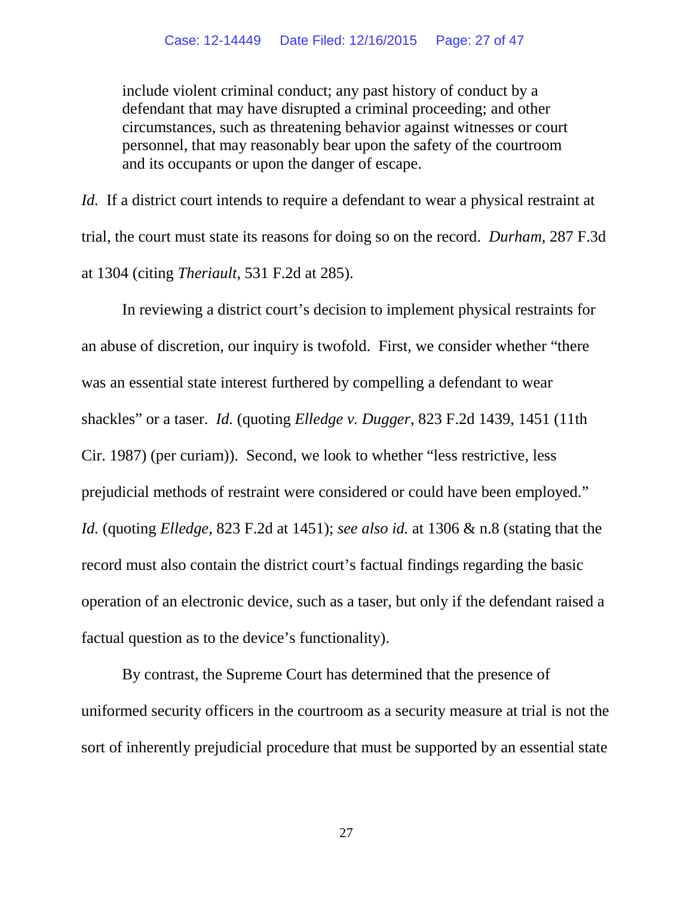include violent criminal conduct; any past history of conduct by a defendant that may have disrupted a criminal proceeding; and other circumstances, such as threatening behavior against witnesses or court personnel, that may reasonably bear upon the safety of the courtroom and its occupants or upon the danger of escape.

*Id.* If a district court intends to require a defendant to wear a physical restraint at trial, the court must state its reasons for doing so on the record. *Durham*, 287 F.3d at 1304 (citing *Theriault*, 531 F.2d at 285).

In reviewing a district court's decision to implement physical restraints for an abuse of discretion, our inquiry is twofold. First, we consider whether "there was an essential state interest furthered by compelling a defendant to wear shackles" or a taser. *Id.* (quoting *Elledge v. Dugger*, 823 F.2d 1439, 1451 (11th Cir. 1987) (per curiam)). Second, we look to whether "less restrictive, less prejudicial methods of restraint were considered or could have been employed." *Id.* (quoting *Elledge*, 823 F.2d at 1451); *see also id.* at 1306 & n.8 (stating that the record must also contain the district court's factual findings regarding the basic operation of an electronic device, such as a taser, but only if the defendant raised a factual question as to the device's functionality).

By contrast, the Supreme Court has determined that the presence of uniformed security officers in the courtroom as a security measure at trial is not the sort of inherently prejudicial procedure that must be supported by an essential state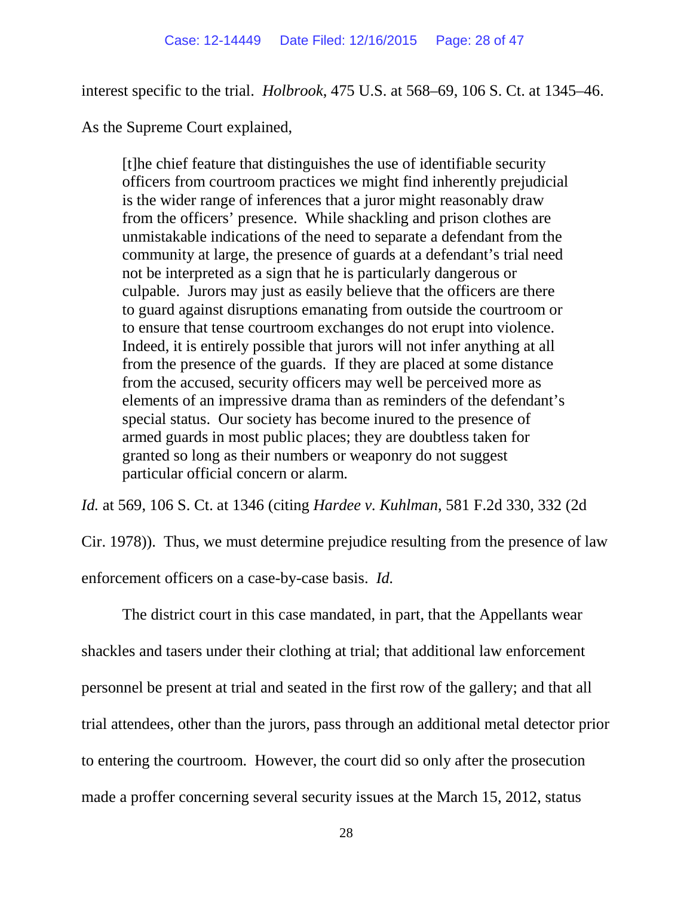interest specific to the trial. *Holbrook*, 475 U.S. at 568–69, 106 S. Ct. at 1345–46.

As the Supreme Court explained,

[t]he chief feature that distinguishes the use of identifiable security officers from courtroom practices we might find inherently prejudicial is the wider range of inferences that a juror might reasonably draw from the officers' presence. While shackling and prison clothes are unmistakable indications of the need to separate a defendant from the community at large, the presence of guards at a defendant's trial need not be interpreted as a sign that he is particularly dangerous or culpable. Jurors may just as easily believe that the officers are there to guard against disruptions emanating from outside the courtroom or to ensure that tense courtroom exchanges do not erupt into violence. Indeed, it is entirely possible that jurors will not infer anything at all from the presence of the guards. If they are placed at some distance from the accused, security officers may well be perceived more as elements of an impressive drama than as reminders of the defendant's special status. Our society has become inured to the presence of armed guards in most public places; they are doubtless taken for granted so long as their numbers or weaponry do not suggest particular official concern or alarm.

*Id.* at 569, 106 S. Ct. at 1346 (citing *Hardee v. Kuhlman*, 581 F.2d 330, 332 (2d

Cir. 1978)). Thus, we must determine prejudice resulting from the presence of law enforcement officers on a case-by-case basis. *Id.*

The district court in this case mandated, in part, that the Appellants wear shackles and tasers under their clothing at trial; that additional law enforcement personnel be present at trial and seated in the first row of the gallery; and that all trial attendees, other than the jurors, pass through an additional metal detector prior to entering the courtroom. However, the court did so only after the prosecution made a proffer concerning several security issues at the March 15, 2012, status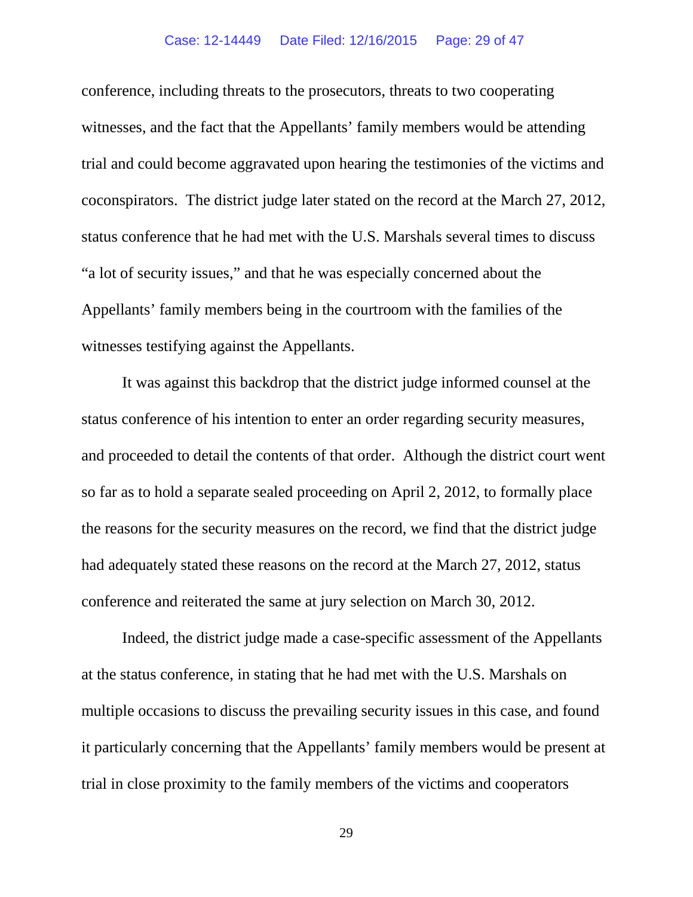### Case: 12-14449 Date Filed: 12/16/2015 Page: 29 of 47

conference, including threats to the prosecutors, threats to two cooperating witnesses, and the fact that the Appellants' family members would be attending trial and could become aggravated upon hearing the testimonies of the victims and coconspirators. The district judge later stated on the record at the March 27, 2012, status conference that he had met with the U.S. Marshals several times to discuss "a lot of security issues," and that he was especially concerned about the Appellants' family members being in the courtroom with the families of the witnesses testifying against the Appellants.

It was against this backdrop that the district judge informed counsel at the status conference of his intention to enter an order regarding security measures, and proceeded to detail the contents of that order. Although the district court went so far as to hold a separate sealed proceeding on April 2, 2012, to formally place the reasons for the security measures on the record, we find that the district judge had adequately stated these reasons on the record at the March 27, 2012, status conference and reiterated the same at jury selection on March 30, 2012.

Indeed, the district judge made a case-specific assessment of the Appellants at the status conference, in stating that he had met with the U.S. Marshals on multiple occasions to discuss the prevailing security issues in this case, and found it particularly concerning that the Appellants' family members would be present at trial in close proximity to the family members of the victims and cooperators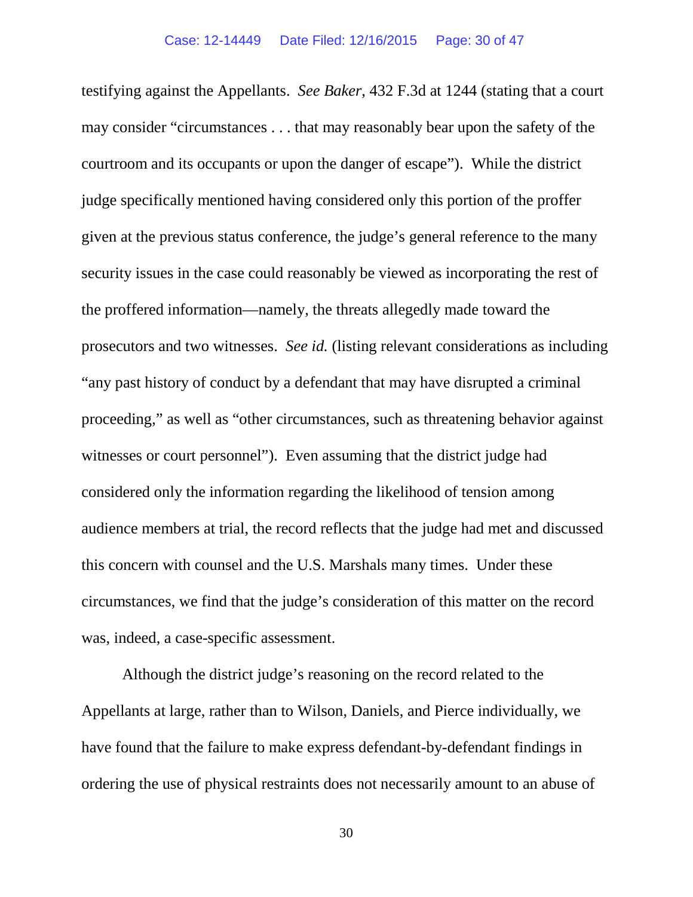testifying against the Appellants. *See Baker*, 432 F.3d at 1244 (stating that a court may consider "circumstances . . . that may reasonably bear upon the safety of the courtroom and its occupants or upon the danger of escape"). While the district judge specifically mentioned having considered only this portion of the proffer given at the previous status conference, the judge's general reference to the many security issues in the case could reasonably be viewed as incorporating the rest of the proffered information—namely, the threats allegedly made toward the prosecutors and two witnesses. *See id.* (listing relevant considerations as including "any past history of conduct by a defendant that may have disrupted a criminal proceeding," as well as "other circumstances, such as threatening behavior against witnesses or court personnel"). Even assuming that the district judge had considered only the information regarding the likelihood of tension among audience members at trial, the record reflects that the judge had met and discussed this concern with counsel and the U.S. Marshals many times. Under these circumstances, we find that the judge's consideration of this matter on the record was, indeed, a case-specific assessment.

Although the district judge's reasoning on the record related to the Appellants at large, rather than to Wilson, Daniels, and Pierce individually, we have found that the failure to make express defendant-by-defendant findings in ordering the use of physical restraints does not necessarily amount to an abuse of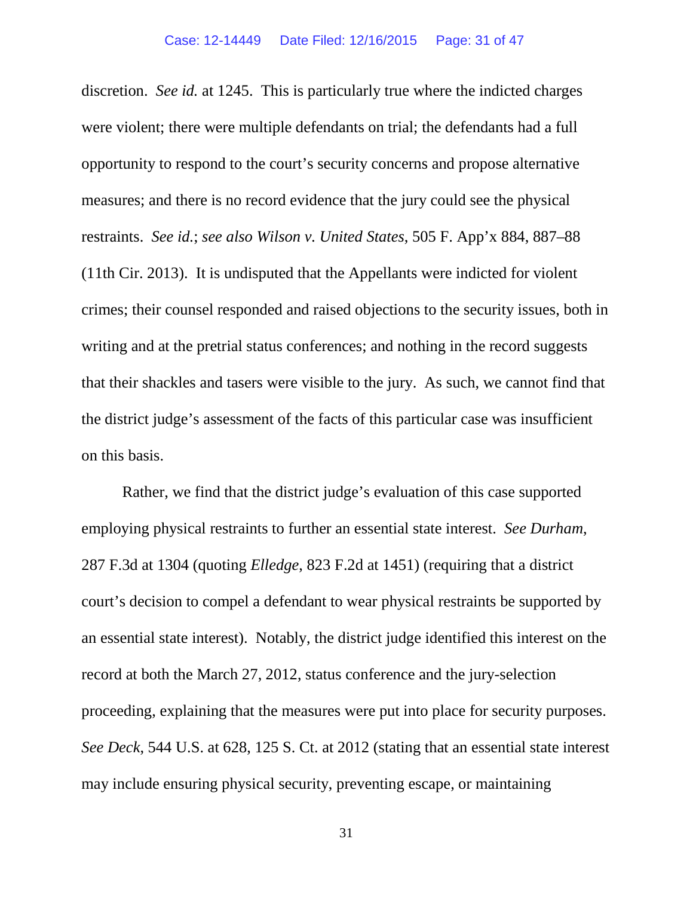discretion. *See id.* at 1245. This is particularly true where the indicted charges were violent; there were multiple defendants on trial; the defendants had a full opportunity to respond to the court's security concerns and propose alternative measures; and there is no record evidence that the jury could see the physical restraints. *See id.*; *see also Wilson v. United States*, 505 F. App'x 884, 887–88 (11th Cir. 2013). It is undisputed that the Appellants were indicted for violent crimes; their counsel responded and raised objections to the security issues, both in writing and at the pretrial status conferences; and nothing in the record suggests that their shackles and tasers were visible to the jury. As such, we cannot find that the district judge's assessment of the facts of this particular case was insufficient on this basis.

Rather, we find that the district judge's evaluation of this case supported employing physical restraints to further an essential state interest. *See Durham*, 287 F.3d at 1304 (quoting *Elledge*, 823 F.2d at 1451) (requiring that a district court's decision to compel a defendant to wear physical restraints be supported by an essential state interest). Notably, the district judge identified this interest on the record at both the March 27, 2012, status conference and the jury-selection proceeding, explaining that the measures were put into place for security purposes. *See Deck*, 544 U.S. at 628, 125 S. Ct. at 2012 (stating that an essential state interest may include ensuring physical security, preventing escape, or maintaining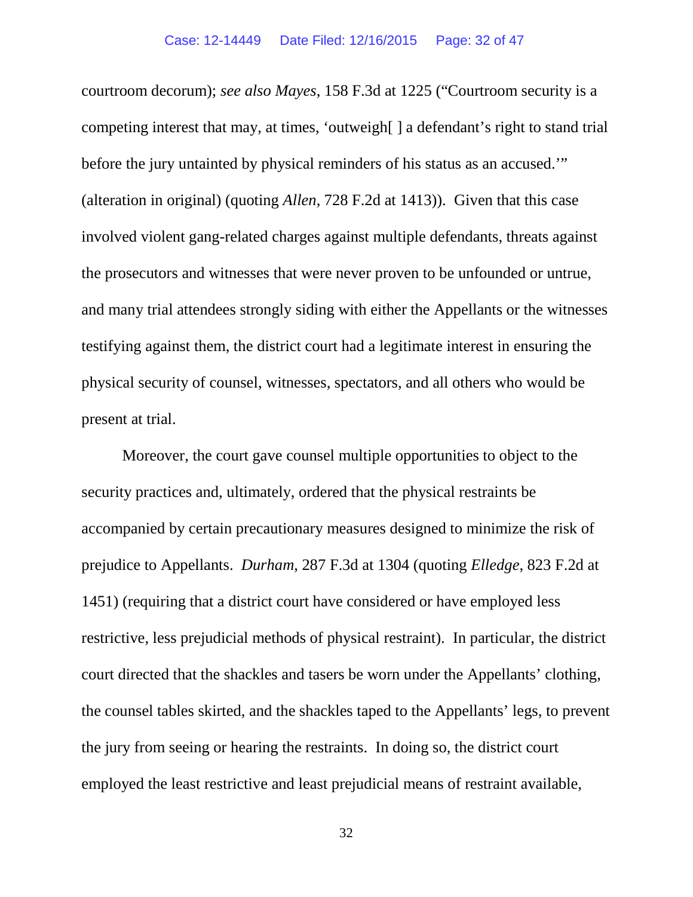courtroom decorum); *see also Mayes*, 158 F.3d at 1225 ("Courtroom security is a competing interest that may, at times, 'outweigh[ ] a defendant's right to stand trial before the jury untainted by physical reminders of his status as an accused.'" (alteration in original) (quoting *Allen*, 728 F.2d at 1413)). Given that this case involved violent gang-related charges against multiple defendants, threats against the prosecutors and witnesses that were never proven to be unfounded or untrue, and many trial attendees strongly siding with either the Appellants or the witnesses testifying against them, the district court had a legitimate interest in ensuring the physical security of counsel, witnesses, spectators, and all others who would be present at trial.

Moreover, the court gave counsel multiple opportunities to object to the security practices and, ultimately, ordered that the physical restraints be accompanied by certain precautionary measures designed to minimize the risk of prejudice to Appellants. *Durham*, 287 F.3d at 1304 (quoting *Elledge*, 823 F.2d at 1451) (requiring that a district court have considered or have employed less restrictive, less prejudicial methods of physical restraint). In particular, the district court directed that the shackles and tasers be worn under the Appellants' clothing, the counsel tables skirted, and the shackles taped to the Appellants' legs, to prevent the jury from seeing or hearing the restraints. In doing so, the district court employed the least restrictive and least prejudicial means of restraint available,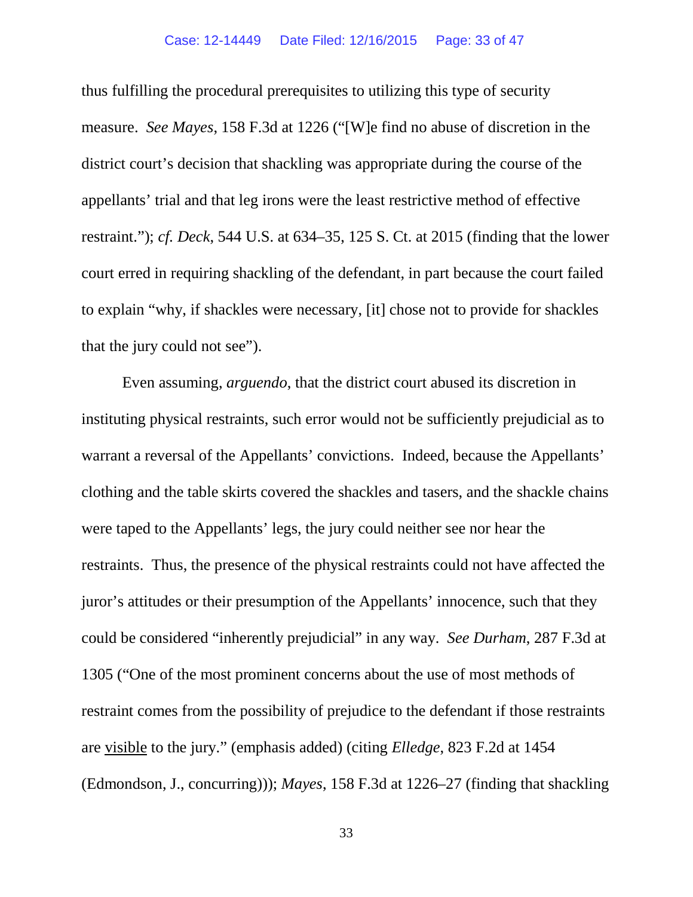thus fulfilling the procedural prerequisites to utilizing this type of security measure. *See Mayes*, 158 F.3d at 1226 ("[W]e find no abuse of discretion in the district court's decision that shackling was appropriate during the course of the appellants' trial and that leg irons were the least restrictive method of effective restraint."); *cf. Deck*, 544 U.S. at 634–35, 125 S. Ct. at 2015 (finding that the lower court erred in requiring shackling of the defendant, in part because the court failed to explain "why, if shackles were necessary, [it] chose not to provide for shackles that the jury could not see").

Even assuming, *arguendo*, that the district court abused its discretion in instituting physical restraints, such error would not be sufficiently prejudicial as to warrant a reversal of the Appellants' convictions. Indeed, because the Appellants' clothing and the table skirts covered the shackles and tasers, and the shackle chains were taped to the Appellants' legs, the jury could neither see nor hear the restraints. Thus, the presence of the physical restraints could not have affected the juror's attitudes or their presumption of the Appellants' innocence, such that they could be considered "inherently prejudicial" in any way. *See Durham*, 287 F.3d at 1305 ("One of the most prominent concerns about the use of most methods of restraint comes from the possibility of prejudice to the defendant if those restraints are visible to the jury." (emphasis added) (citing *Elledge*, 823 F.2d at 1454 (Edmondson, J., concurring))); *Mayes*, 158 F.3d at 1226–27 (finding that shackling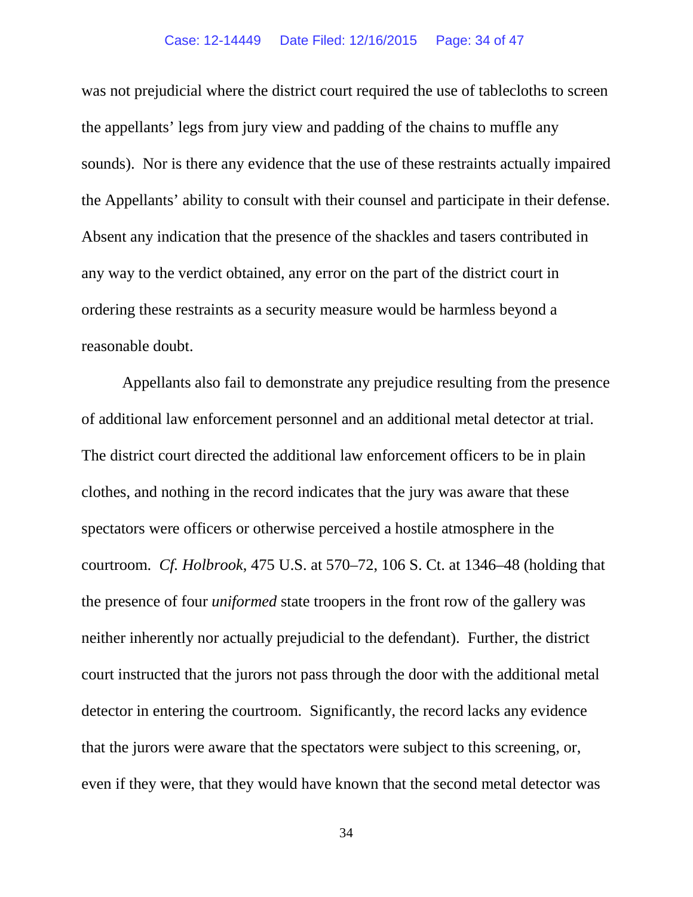#### Case: 12-14449 Date Filed: 12/16/2015 Page: 34 of 47

was not prejudicial where the district court required the use of tablecloths to screen the appellants' legs from jury view and padding of the chains to muffle any sounds). Nor is there any evidence that the use of these restraints actually impaired the Appellants' ability to consult with their counsel and participate in their defense. Absent any indication that the presence of the shackles and tasers contributed in any way to the verdict obtained, any error on the part of the district court in ordering these restraints as a security measure would be harmless beyond a reasonable doubt.

Appellants also fail to demonstrate any prejudice resulting from the presence of additional law enforcement personnel and an additional metal detector at trial. The district court directed the additional law enforcement officers to be in plain clothes, and nothing in the record indicates that the jury was aware that these spectators were officers or otherwise perceived a hostile atmosphere in the courtroom. *Cf. Holbrook*, 475 U.S. at 570–72, 106 S. Ct. at 1346–48 (holding that the presence of four *uniformed* state troopers in the front row of the gallery was neither inherently nor actually prejudicial to the defendant). Further, the district court instructed that the jurors not pass through the door with the additional metal detector in entering the courtroom. Significantly, the record lacks any evidence that the jurors were aware that the spectators were subject to this screening, or, even if they were, that they would have known that the second metal detector was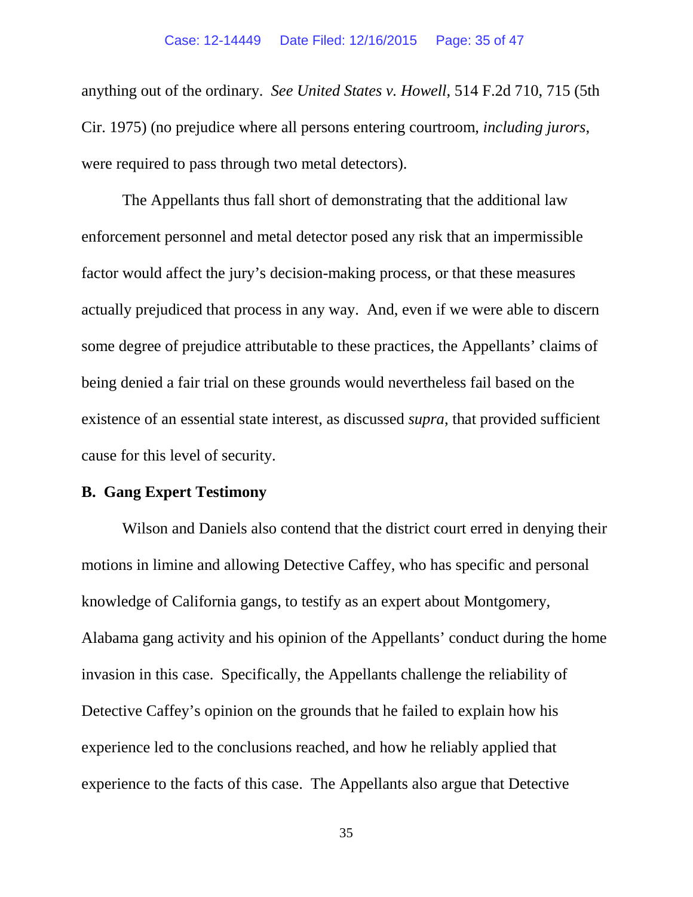anything out of the ordinary. *See United States v. Howell*, 514 F.2d 710, 715 (5th Cir. 1975) (no prejudice where all persons entering courtroom, *including jurors*, were required to pass through two metal detectors).

The Appellants thus fall short of demonstrating that the additional law enforcement personnel and metal detector posed any risk that an impermissible factor would affect the jury's decision-making process, or that these measures actually prejudiced that process in any way. And, even if we were able to discern some degree of prejudice attributable to these practices, the Appellants' claims of being denied a fair trial on these grounds would nevertheless fail based on the existence of an essential state interest, as discussed *supra*, that provided sufficient cause for this level of security.

# **B. Gang Expert Testimony**

Wilson and Daniels also contend that the district court erred in denying their motions in limine and allowing Detective Caffey, who has specific and personal knowledge of California gangs, to testify as an expert about Montgomery, Alabama gang activity and his opinion of the Appellants' conduct during the home invasion in this case. Specifically, the Appellants challenge the reliability of Detective Caffey's opinion on the grounds that he failed to explain how his experience led to the conclusions reached, and how he reliably applied that experience to the facts of this case. The Appellants also argue that Detective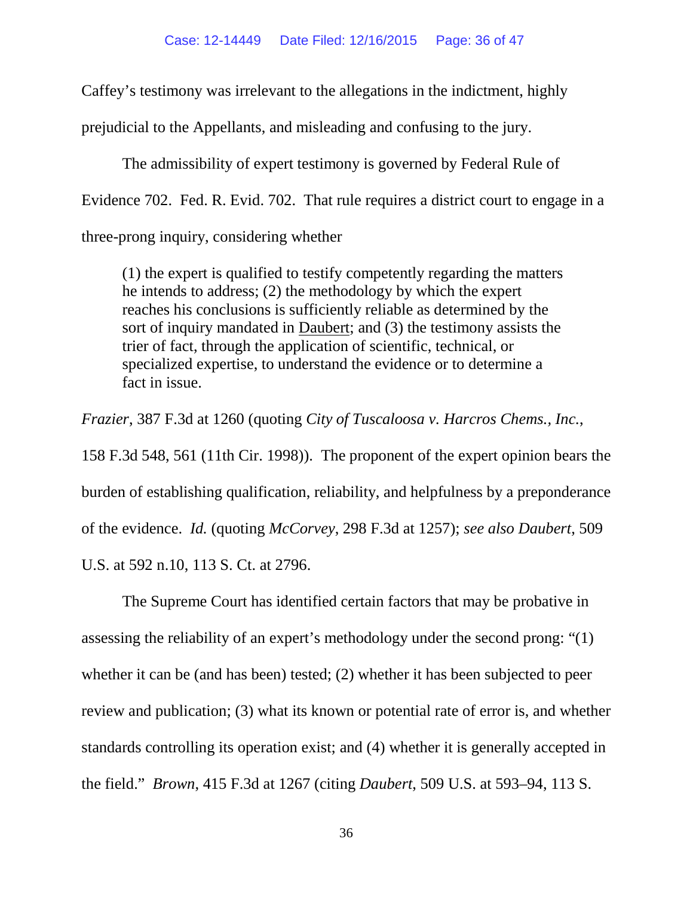Caffey's testimony was irrelevant to the allegations in the indictment, highly

prejudicial to the Appellants, and misleading and confusing to the jury.

The admissibility of expert testimony is governed by Federal Rule of Evidence 702. Fed. R. Evid. 702. That rule requires a district court to engage in a three-prong inquiry, considering whether

(1) the expert is qualified to testify competently regarding the matters he intends to address; (2) the methodology by which the expert reaches his conclusions is sufficiently reliable as determined by the sort of inquiry mandated in Daubert; and (3) the testimony assists the trier of fact, through the application of scientific, technical, or specialized expertise, to understand the evidence or to determine a fact in issue.

*Frazier*, 387 F.3d at 1260 (quoting *City of Tuscaloosa v. Harcros Chems., Inc.*, 158 F.3d 548, 561 (11th Cir. 1998)). The proponent of the expert opinion bears the burden of establishing qualification, reliability, and helpfulness by a preponderance of the evidence. *Id.* (quoting *McCorvey*, 298 F.3d at 1257); *see also Daubert*, 509 U.S. at 592 n.10, 113 S. Ct. at 2796.

The Supreme Court has identified certain factors that may be probative in assessing the reliability of an expert's methodology under the second prong: "(1) whether it can be (and has been) tested; (2) whether it has been subjected to peer review and publication; (3) what its known or potential rate of error is, and whether standards controlling its operation exist; and (4) whether it is generally accepted in the field." *Brown*, 415 F.3d at 1267 (citing *Daubert*, 509 U.S. at 593–94, 113 S.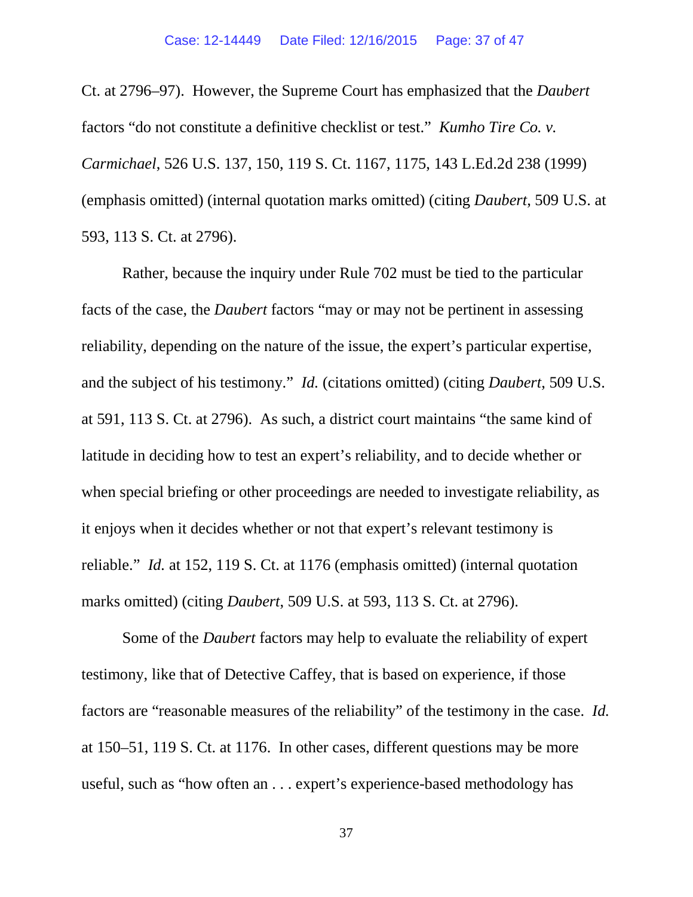Ct. at 2796–97). However, the Supreme Court has emphasized that the *Daubert* factors "do not constitute a definitive checklist or test." *Kumho Tire Co. v. Carmichael*, 526 U.S. 137, 150, 119 S. Ct. 1167, 1175, 143 L.Ed.2d 238 (1999) (emphasis omitted) (internal quotation marks omitted) (citing *Daubert*, 509 U.S. at 593, 113 S. Ct. at 2796).

Rather, because the inquiry under Rule 702 must be tied to the particular facts of the case, the *Daubert* factors "may or may not be pertinent in assessing reliability, depending on the nature of the issue, the expert's particular expertise, and the subject of his testimony." *Id.* (citations omitted) (citing *Daubert*, 509 U.S. at 591, 113 S. Ct. at 2796). As such, a district court maintains "the same kind of latitude in deciding how to test an expert's reliability, and to decide whether or when special briefing or other proceedings are needed to investigate reliability, as it enjoys when it decides whether or not that expert's relevant testimony is reliable." *Id.* at 152, 119 S. Ct. at 1176 (emphasis omitted) (internal quotation marks omitted) (citing *Daubert*, 509 U.S. at 593, 113 S. Ct. at 2796).

Some of the *Daubert* factors may help to evaluate the reliability of expert testimony, like that of Detective Caffey, that is based on experience, if those factors are "reasonable measures of the reliability" of the testimony in the case. *Id.* at 150–51, 119 S. Ct. at 1176. In other cases, different questions may be more useful, such as "how often an . . . expert's experience-based methodology has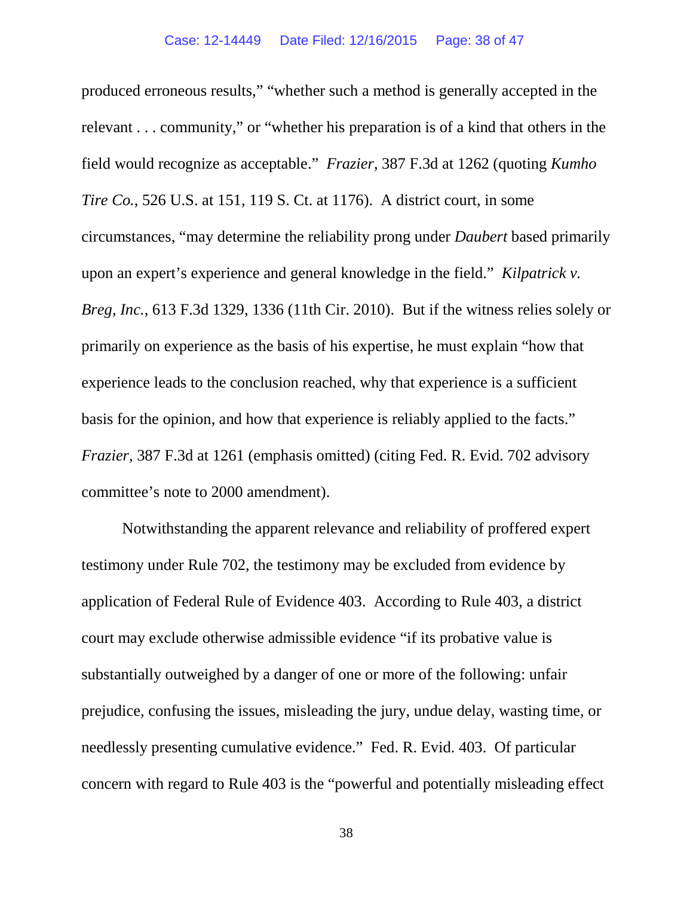produced erroneous results," "whether such a method is generally accepted in the relevant . . . community," or "whether his preparation is of a kind that others in the field would recognize as acceptable." *Frazier*, 387 F.3d at 1262 (quoting *Kumho Tire Co.*, 526 U.S. at 151, 119 S. Ct. at 1176). A district court, in some circumstances, "may determine the reliability prong under *Daubert* based primarily upon an expert's experience and general knowledge in the field." *Kilpatrick v. Breg, Inc.*, 613 F.3d 1329, 1336 (11th Cir. 2010). But if the witness relies solely or primarily on experience as the basis of his expertise, he must explain "how that experience leads to the conclusion reached, why that experience is a sufficient basis for the opinion, and how that experience is reliably applied to the facts." *Frazier*, 387 F.3d at 1261 (emphasis omitted) (citing Fed. R. Evid. 702 advisory committee's note to 2000 amendment).

Notwithstanding the apparent relevance and reliability of proffered expert testimony under Rule 702, the testimony may be excluded from evidence by application of Federal Rule of Evidence 403. According to Rule 403, a district court may exclude otherwise admissible evidence "if its probative value is substantially outweighed by a danger of one or more of the following: unfair prejudice, confusing the issues, misleading the jury, undue delay, wasting time, or needlessly presenting cumulative evidence." Fed. R. Evid. 403. Of particular concern with regard to Rule 403 is the "powerful and potentially misleading effect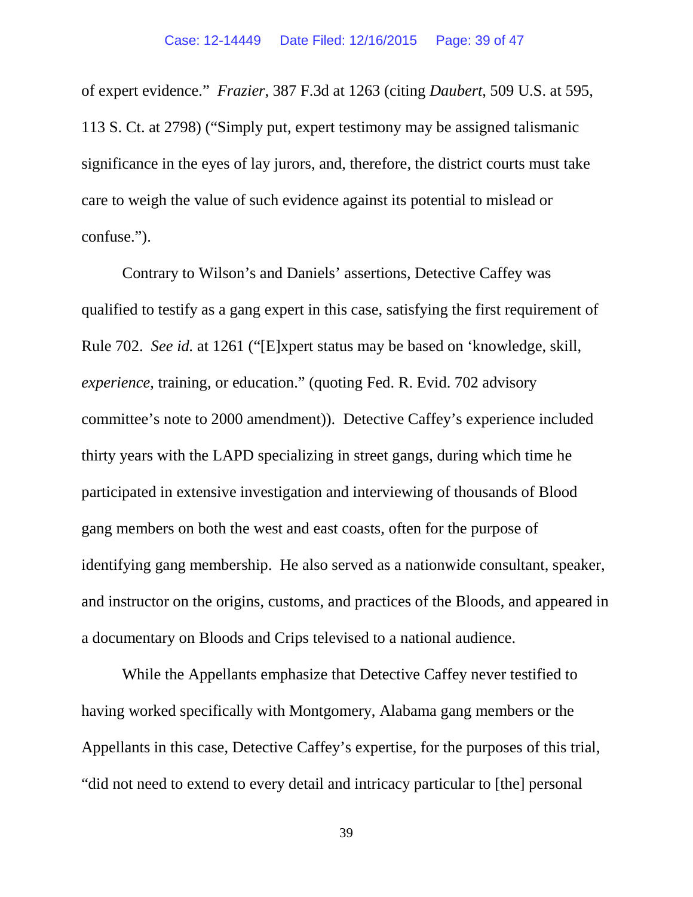of expert evidence." *Frazier*, 387 F.3d at 1263 (citing *Daubert*, 509 U.S. at 595, 113 S. Ct. at 2798) ("Simply put, expert testimony may be assigned talismanic significance in the eyes of lay jurors, and, therefore, the district courts must take care to weigh the value of such evidence against its potential to mislead or confuse.").

Contrary to Wilson's and Daniels' assertions, Detective Caffey was qualified to testify as a gang expert in this case, satisfying the first requirement of Rule 702. *See id.* at 1261 ("[E]xpert status may be based on 'knowledge, skill, *experience*, training, or education." (quoting Fed. R. Evid. 702 advisory committee's note to 2000 amendment)). Detective Caffey's experience included thirty years with the LAPD specializing in street gangs, during which time he participated in extensive investigation and interviewing of thousands of Blood gang members on both the west and east coasts, often for the purpose of identifying gang membership. He also served as a nationwide consultant, speaker, and instructor on the origins, customs, and practices of the Bloods, and appeared in a documentary on Bloods and Crips televised to a national audience.

While the Appellants emphasize that Detective Caffey never testified to having worked specifically with Montgomery, Alabama gang members or the Appellants in this case, Detective Caffey's expertise, for the purposes of this trial, "did not need to extend to every detail and intricacy particular to [the] personal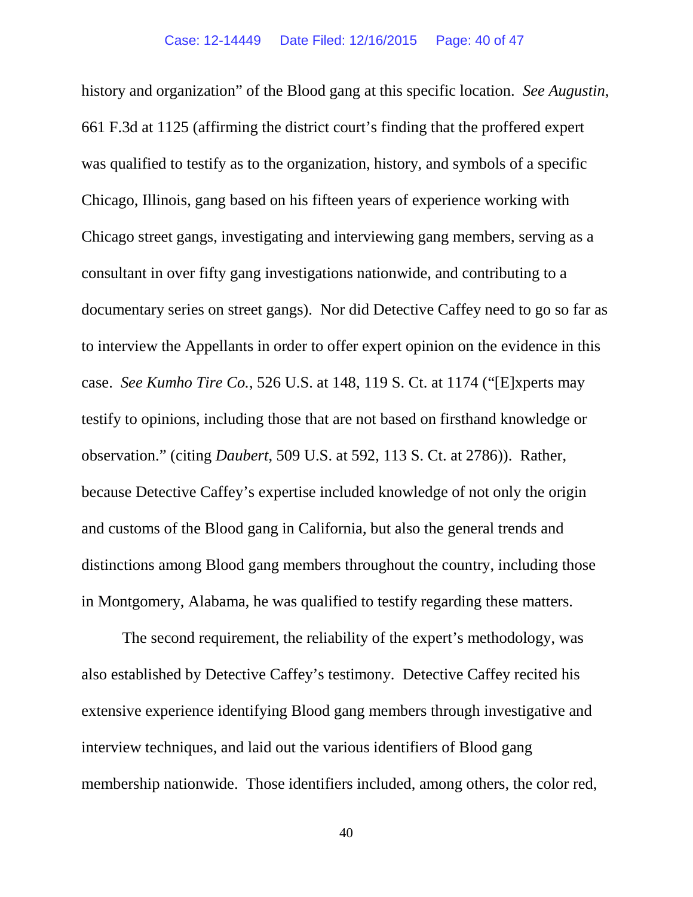history and organization" of the Blood gang at this specific location. *See Augustin*, 661 F.3d at 1125 (affirming the district court's finding that the proffered expert was qualified to testify as to the organization, history, and symbols of a specific Chicago, Illinois, gang based on his fifteen years of experience working with Chicago street gangs, investigating and interviewing gang members, serving as a consultant in over fifty gang investigations nationwide, and contributing to a documentary series on street gangs). Nor did Detective Caffey need to go so far as to interview the Appellants in order to offer expert opinion on the evidence in this case. *See Kumho Tire Co.*, 526 U.S. at 148, 119 S. Ct. at 1174 ("[E]xperts may testify to opinions, including those that are not based on firsthand knowledge or observation." (citing *Daubert*, 509 U.S. at 592, 113 S. Ct. at 2786)). Rather, because Detective Caffey's expertise included knowledge of not only the origin and customs of the Blood gang in California, but also the general trends and distinctions among Blood gang members throughout the country, including those in Montgomery, Alabama, he was qualified to testify regarding these matters.

The second requirement, the reliability of the expert's methodology, was also established by Detective Caffey's testimony. Detective Caffey recited his extensive experience identifying Blood gang members through investigative and interview techniques, and laid out the various identifiers of Blood gang membership nationwide. Those identifiers included, among others, the color red,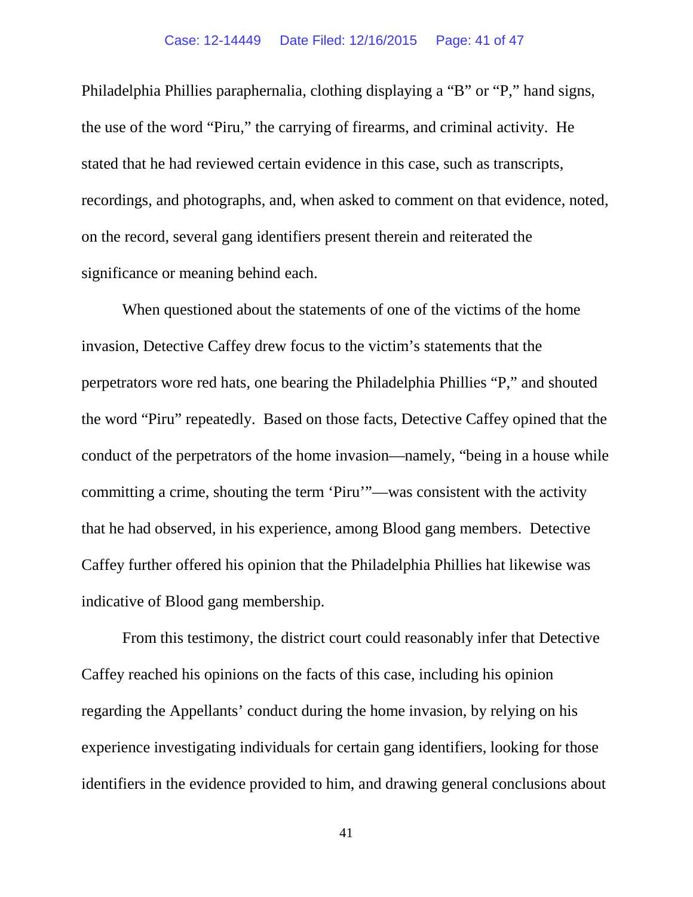#### Case: 12-14449 Date Filed: 12/16/2015 Page: 41 of 47

Philadelphia Phillies paraphernalia, clothing displaying a "B" or "P," hand signs, the use of the word "Piru," the carrying of firearms, and criminal activity. He stated that he had reviewed certain evidence in this case, such as transcripts, recordings, and photographs, and, when asked to comment on that evidence, noted, on the record, several gang identifiers present therein and reiterated the significance or meaning behind each.

When questioned about the statements of one of the victims of the home invasion, Detective Caffey drew focus to the victim's statements that the perpetrators wore red hats, one bearing the Philadelphia Phillies "P," and shouted the word "Piru" repeatedly. Based on those facts, Detective Caffey opined that the conduct of the perpetrators of the home invasion—namely, "being in a house while committing a crime, shouting the term 'Piru'"—was consistent with the activity that he had observed, in his experience, among Blood gang members. Detective Caffey further offered his opinion that the Philadelphia Phillies hat likewise was indicative of Blood gang membership.

From this testimony, the district court could reasonably infer that Detective Caffey reached his opinions on the facts of this case, including his opinion regarding the Appellants' conduct during the home invasion, by relying on his experience investigating individuals for certain gang identifiers, looking for those identifiers in the evidence provided to him, and drawing general conclusions about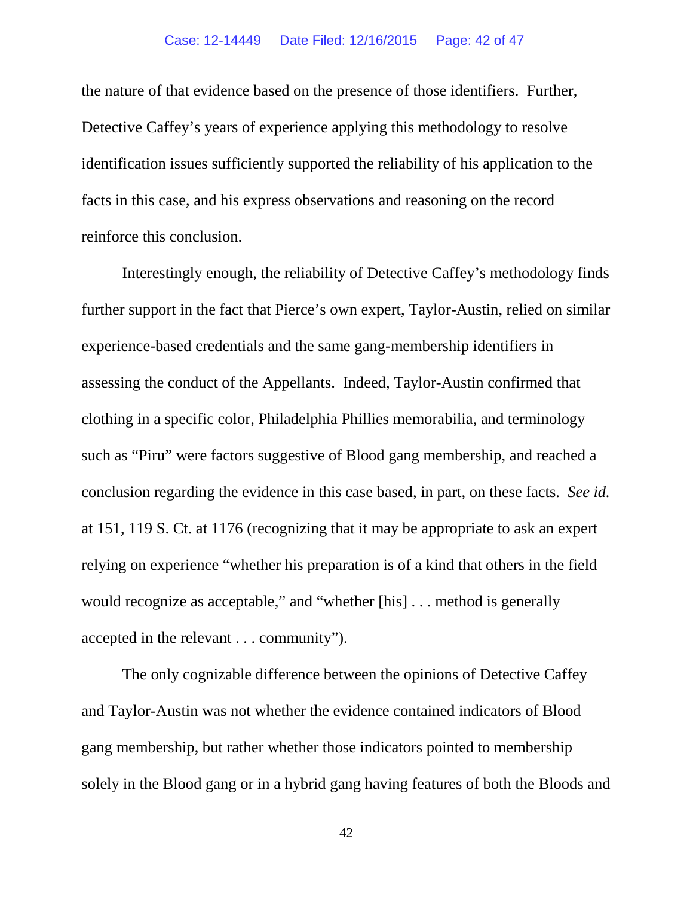### Case: 12-14449 Date Filed: 12/16/2015 Page: 42 of 47

the nature of that evidence based on the presence of those identifiers. Further, Detective Caffey's years of experience applying this methodology to resolve identification issues sufficiently supported the reliability of his application to the facts in this case, and his express observations and reasoning on the record reinforce this conclusion.

Interestingly enough, the reliability of Detective Caffey's methodology finds further support in the fact that Pierce's own expert, Taylor-Austin, relied on similar experience-based credentials and the same gang-membership identifiers in assessing the conduct of the Appellants. Indeed, Taylor-Austin confirmed that clothing in a specific color, Philadelphia Phillies memorabilia, and terminology such as "Piru" were factors suggestive of Blood gang membership, and reached a conclusion regarding the evidence in this case based, in part, on these facts. *See id.* at 151, 119 S. Ct. at 1176 (recognizing that it may be appropriate to ask an expert relying on experience "whether his preparation is of a kind that others in the field would recognize as acceptable," and "whether [his] . . . method is generally accepted in the relevant . . . community").

The only cognizable difference between the opinions of Detective Caffey and Taylor-Austin was not whether the evidence contained indicators of Blood gang membership, but rather whether those indicators pointed to membership solely in the Blood gang or in a hybrid gang having features of both the Bloods and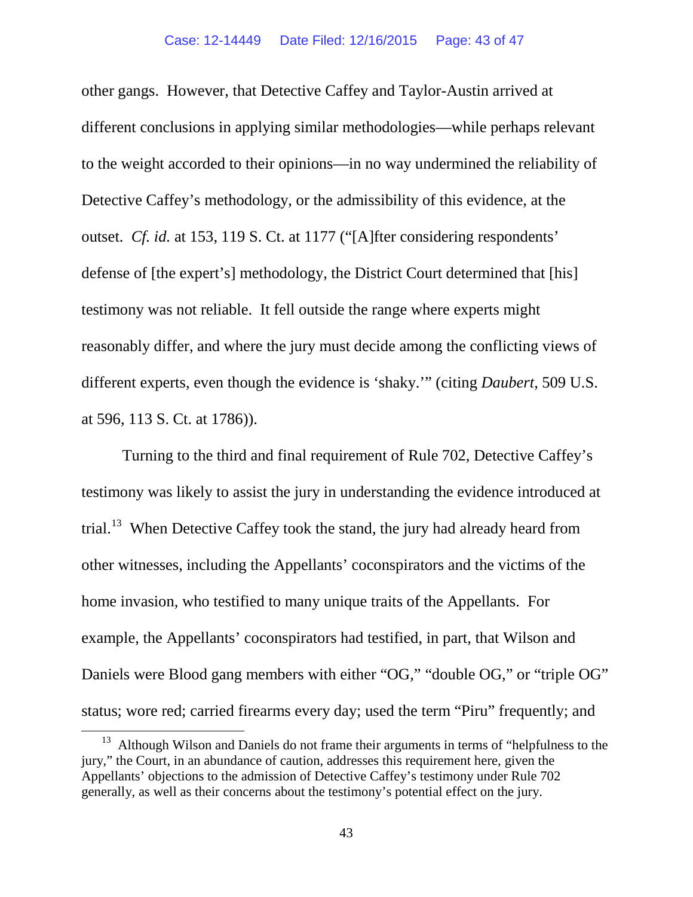other gangs. However, that Detective Caffey and Taylor-Austin arrived at different conclusions in applying similar methodologies—while perhaps relevant to the weight accorded to their opinions—in no way undermined the reliability of Detective Caffey's methodology, or the admissibility of this evidence, at the outset. *Cf. id.* at 153, 119 S. Ct. at 1177 ("[A]fter considering respondents' defense of [the expert's] methodology, the District Court determined that [his] testimony was not reliable. It fell outside the range where experts might reasonably differ, and where the jury must decide among the conflicting views of different experts, even though the evidence is 'shaky.'" (citing *Daubert*, 509 U.S. at 596, 113 S. Ct. at 1786)).

Turning to the third and final requirement of Rule 702, Detective Caffey's testimony was likely to assist the jury in understanding the evidence introduced at trial.<sup>13</sup> When Detective Caffey took the stand, the jury had already heard from other witnesses, including the Appellants' coconspirators and the victims of the home invasion, who testified to many unique traits of the Appellants. For example, the Appellants' coconspirators had testified, in part, that Wilson and Daniels were Blood gang members with either "OG," "double OG," or "triple OG" status; wore red; carried firearms every day; used the term "Piru" frequently; and

<span id="page-42-0"></span> $13$  Although Wilson and Daniels do not frame their arguments in terms of "helpfulness to the jury," the Court, in an abundance of caution, addresses this requirement here, given the Appellants' objections to the admission of Detective Caffey's testimony under Rule 702 generally, as well as their concerns about the testimony's potential effect on the jury.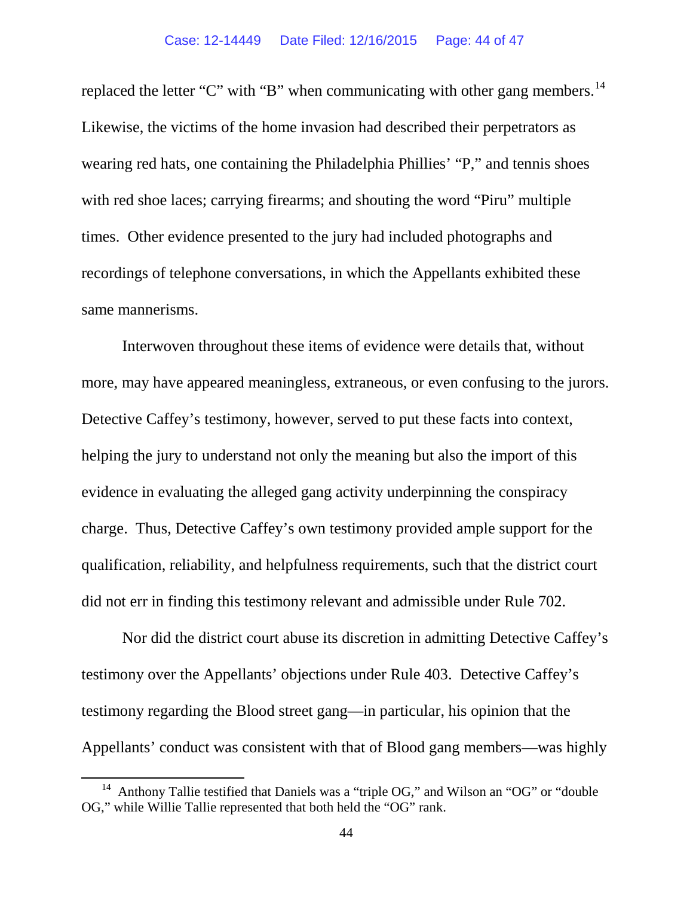replaced the letter "C" with "B" when communicating with other gang members.<sup>14</sup> Likewise, the victims of the home invasion had described their perpetrators as wearing red hats, one containing the Philadelphia Phillies' "P," and tennis shoes with red shoe laces; carrying firearms; and shouting the word "Piru" multiple times. Other evidence presented to the jury had included photographs and recordings of telephone conversations, in which the Appellants exhibited these same mannerisms.

Interwoven throughout these items of evidence were details that, without more, may have appeared meaningless, extraneous, or even confusing to the jurors. Detective Caffey's testimony, however, served to put these facts into context, helping the jury to understand not only the meaning but also the import of this evidence in evaluating the alleged gang activity underpinning the conspiracy charge. Thus, Detective Caffey's own testimony provided ample support for the qualification, reliability, and helpfulness requirements, such that the district court did not err in finding this testimony relevant and admissible under Rule 702.

Nor did the district court abuse its discretion in admitting Detective Caffey's testimony over the Appellants' objections under Rule 403. Detective Caffey's testimony regarding the Blood street gang—in particular, his opinion that the Appellants' conduct was consistent with that of Blood gang members—was highly

<span id="page-43-0"></span><sup>&</sup>lt;sup>14</sup> Anthony Tallie testified that Daniels was a "triple OG," and Wilson an "OG" or "double OG," while Willie Tallie represented that both held the "OG" rank.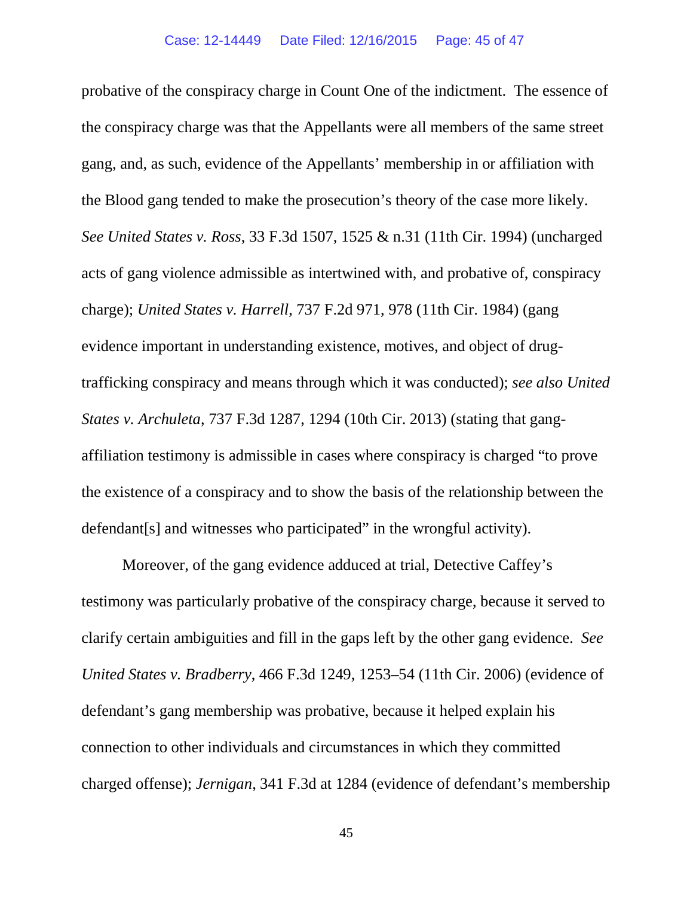probative of the conspiracy charge in Count One of the indictment. The essence of the conspiracy charge was that the Appellants were all members of the same street gang, and, as such, evidence of the Appellants' membership in or affiliation with the Blood gang tended to make the prosecution's theory of the case more likely. *See United States v. Ross*, 33 F.3d 1507, 1525 & n.31 (11th Cir. 1994) (uncharged acts of gang violence admissible as intertwined with, and probative of, conspiracy charge); *United States v. Harrell*, 737 F.2d 971, 978 (11th Cir. 1984) (gang evidence important in understanding existence, motives, and object of drugtrafficking conspiracy and means through which it was conducted); *see also United States v. Archuleta*, 737 F.3d 1287, 1294 (10th Cir. 2013) (stating that gangaffiliation testimony is admissible in cases where conspiracy is charged "to prove the existence of a conspiracy and to show the basis of the relationship between the defendant[s] and witnesses who participated" in the wrongful activity).

Moreover, of the gang evidence adduced at trial, Detective Caffey's testimony was particularly probative of the conspiracy charge, because it served to clarify certain ambiguities and fill in the gaps left by the other gang evidence. *See United States v. Bradberry*, 466 F.3d 1249, 1253–54 (11th Cir. 2006) (evidence of defendant's gang membership was probative, because it helped explain his connection to other individuals and circumstances in which they committed charged offense); *Jernigan*, 341 F.3d at 1284 (evidence of defendant's membership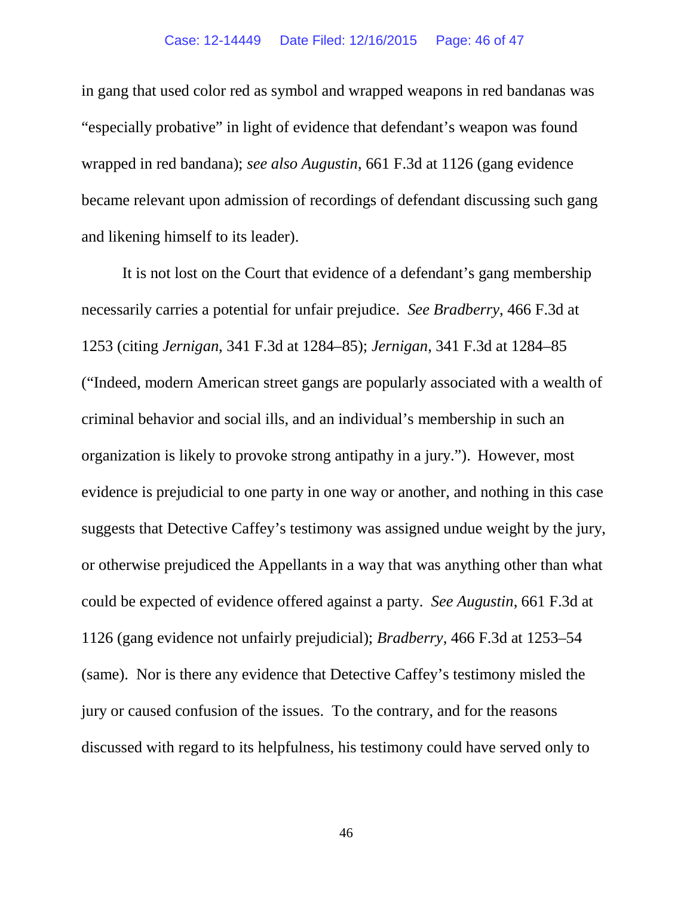in gang that used color red as symbol and wrapped weapons in red bandanas was "especially probative" in light of evidence that defendant's weapon was found wrapped in red bandana); *see also Augustin*, 661 F.3d at 1126 (gang evidence became relevant upon admission of recordings of defendant discussing such gang and likening himself to its leader).

It is not lost on the Court that evidence of a defendant's gang membership necessarily carries a potential for unfair prejudice. *See Bradberry*, 466 F.3d at 1253 (citing *Jernigan*, 341 F.3d at 1284–85); *Jernigan*, 341 F.3d at 1284–85 ("Indeed, modern American street gangs are popularly associated with a wealth of criminal behavior and social ills, and an individual's membership in such an organization is likely to provoke strong antipathy in a jury."). However, most evidence is prejudicial to one party in one way or another, and nothing in this case suggests that Detective Caffey's testimony was assigned undue weight by the jury, or otherwise prejudiced the Appellants in a way that was anything other than what could be expected of evidence offered against a party. *See Augustin*, 661 F.3d at 1126 (gang evidence not unfairly prejudicial); *Bradberry*, 466 F.3d at 1253–54 (same). Nor is there any evidence that Detective Caffey's testimony misled the jury or caused confusion of the issues. To the contrary, and for the reasons discussed with regard to its helpfulness, his testimony could have served only to